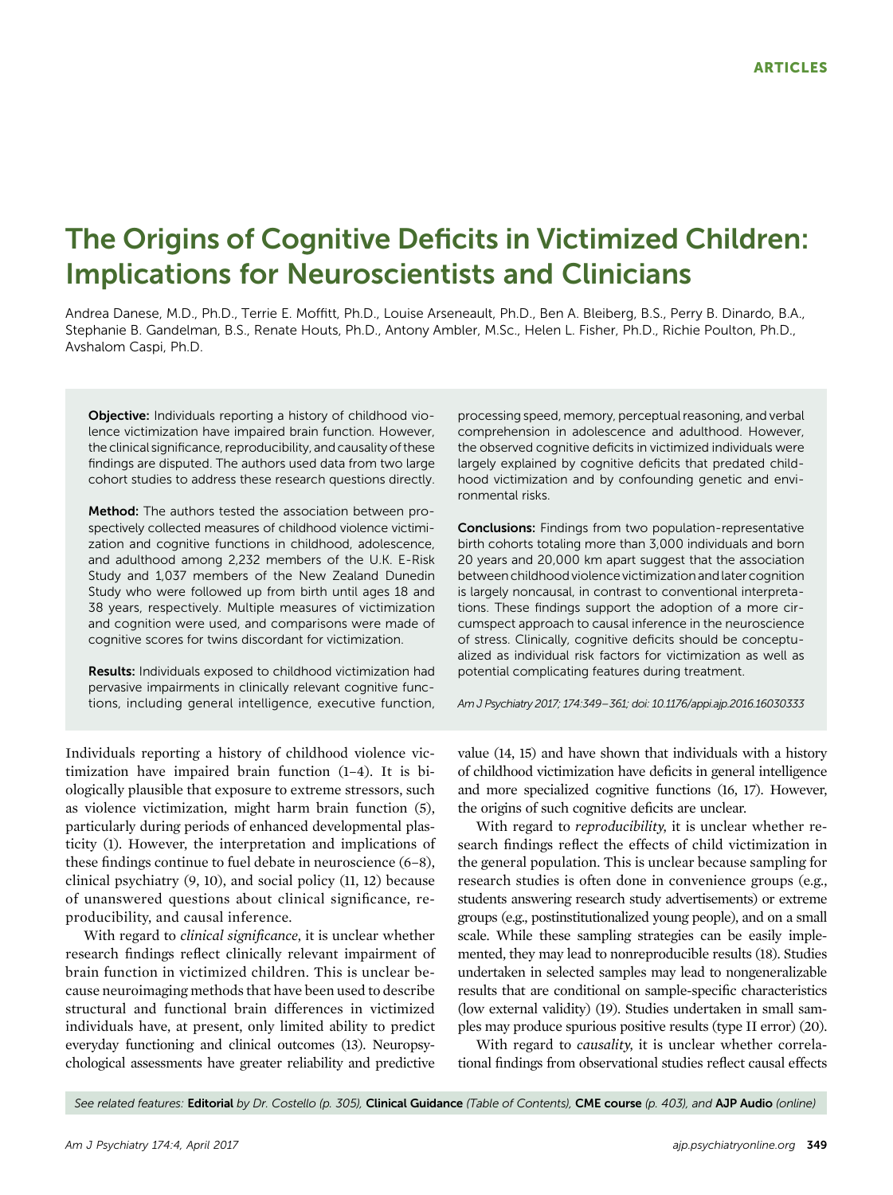# The Origins of Cognitive Deficits in Victimized Children: Implications for Neuroscientists and Clinicians

Andrea Danese, M.D., Ph.D., Terrie E. Moffitt, Ph.D., Louise Arseneault, Ph.D., Ben A. Bleiberg, B.S., Perry B. Dinardo, B.A., Stephanie B. Gandelman, B.S., Renate Houts, Ph.D., Antony Ambler, M.Sc., Helen L. Fisher, Ph.D., Richie Poulton, Ph.D., Avshalom Caspi, Ph.D.

Objective: Individuals reporting a history of childhood violence victimization have impaired brain function. However, the clinical significance, reproducibility, and causality of these findings are disputed. The authors used data from two large cohort studies to address these research questions directly.

Method: The authors tested the association between prospectively collected measures of childhood violence victimization and cognitive functions in childhood, adolescence, and adulthood among 2,232 members of the U.K. E-Risk Study and 1,037 members of the New Zealand Dunedin Study who were followed up from birth until ages 18 and 38 years, respectively. Multiple measures of victimization and cognition were used, and comparisons were made of cognitive scores for twins discordant for victimization.

Results: Individuals exposed to childhood victimization had pervasive impairments in clinically relevant cognitive functions, including general intelligence, executive function,

Individuals reporting a history of childhood violence victimization have impaired brain function (1–4). It is biologically plausible that exposure to extreme stressors, such as violence victimization, might harm brain function (5), particularly during periods of enhanced developmental plasticity (1). However, the interpretation and implications of these findings continue to fuel debate in neuroscience (6–8), clinical psychiatry (9, 10), and social policy (11, 12) because of unanswered questions about clinical significance, reproducibility, and causal inference.

With regard to clinical significance, it is unclear whether research findings reflect clinically relevant impairment of brain function in victimized children. This is unclear because neuroimaging methods that have been used to describe structural and functional brain differences in victimized individuals have, at present, only limited ability to predict everyday functioning and clinical outcomes (13). Neuropsychological assessments have greater reliability and predictive processing speed, memory, perceptual reasoning, and verbal comprehension in adolescence and adulthood. However, the observed cognitive deficits in victimized individuals were largely explained by cognitive deficits that predated childhood victimization and by confounding genetic and environmental risks.

**Conclusions:** Findings from two population-representative birth cohorts totaling more than 3,000 individuals and born 20 years and 20,000 km apart suggest that the association between childhood violence victimization and later cognition is largely noncausal, in contrast to conventional interpretations. These findings support the adoption of a more circumspect approach to causal inference in the neuroscience of stress. Clinically, cognitive deficits should be conceptualized as individual risk factors for victimization as well as potential complicating features during treatment.

Am J Psychiatry 2017; 174:349–361; doi: 10.1176/appi.ajp.2016.16030333

value (14, 15) and have shown that individuals with a history of childhood victimization have deficits in general intelligence and more specialized cognitive functions (16, 17). However, the origins of such cognitive deficits are unclear.

With regard to reproducibility, it is unclear whether research findings reflect the effects of child victimization in the general population. This is unclear because sampling for research studies is often done in convenience groups (e.g., students answering research study advertisements) or extreme groups (e.g., postinstitutionalized young people), and on a small scale. While these sampling strategies can be easily implemented, they may lead to nonreproducible results (18). Studies undertaken in selected samples may lead to nongeneralizable results that are conditional on sample-specific characteristics (low external validity) (19). Studies undertaken in small samples may produce spurious positive results (type II error) (20).

With regard to causality, it is unclear whether correlational findings from observational studies reflect causal effects

See related features: Editorial by Dr. Costello (p. 305), Clinical Guidance (Table of Contents), CME course (p. 403), and AJP Audio (online)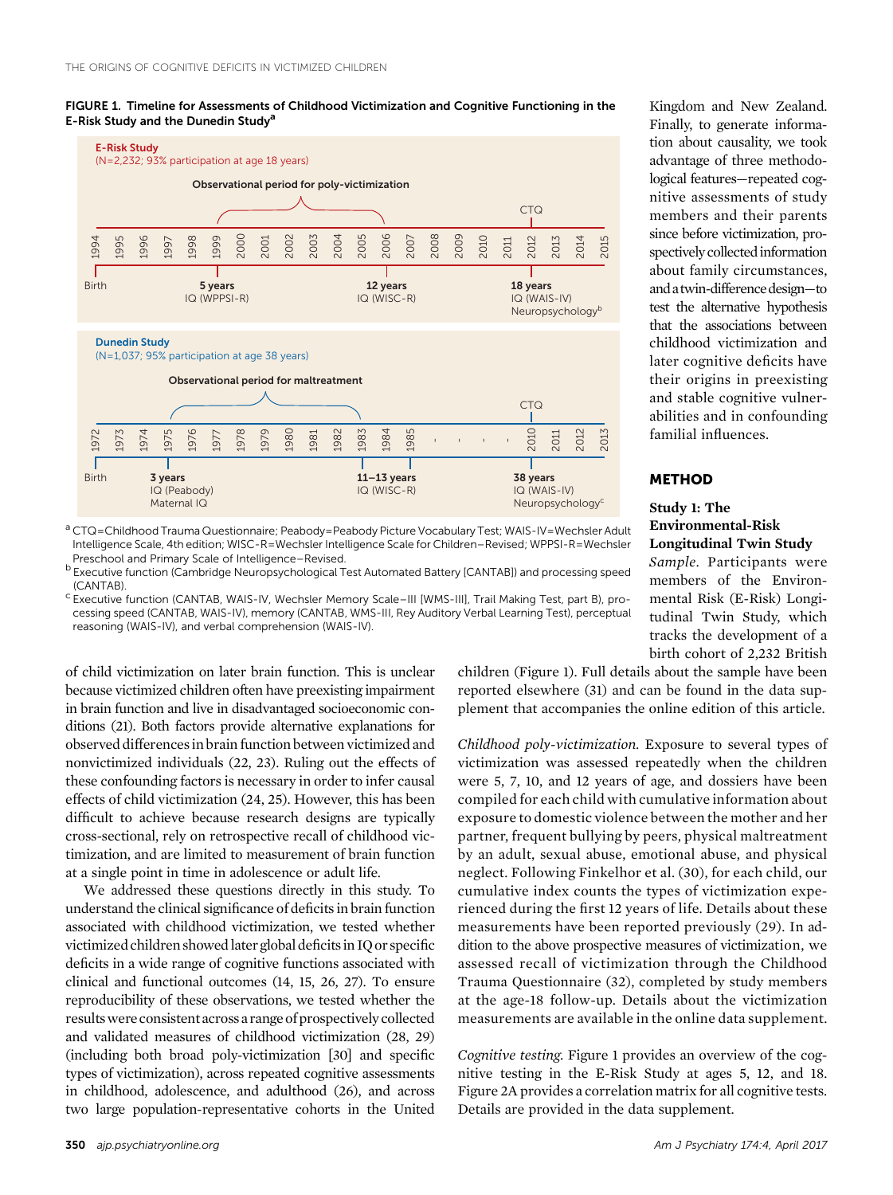#### FIGURE 1. Timeline for Assessments of Childhood Victimization and Cognitive Functioning in the E-Risk Study and the Dunedin Study<sup>a</sup>



Kingdom and New Zealand. Finally, to generate information about causality, we took advantage of three methodological features—repeated cognitive assessments of study members and their parents since before victimization, prospectively collected information about family circumstances, andatwin-differencedesign—to test the alternative hypothesis that the associations between childhood victimization and later cognitive deficits have their origins in preexisting and stable cognitive vulnerabilities and in confounding familial influences.

## METHOD

## Study 1: The Environmental-Risk Longitudinal Twin Study Sample. Participants were

members of the Environmental Risk (E-Risk) Longitudinal Twin Study, which tracks the development of a birth cohort of 2,232 British

<sup>a</sup> CTQ=Childhood Trauma Questionnaire; Peabody=Peabody Picture Vocabulary Test; WAIS-IV=Wechsler Adult Intelligence Scale, 4th edition; WISC-R=Wechsler Intelligence Scale for Children–Revised; WPPSI-R=Wechsler<br>Preschool and Primary Scale of Intelligence–Revised.

<sup>b</sup> Executive function (Cambridge Neuropsychological Test Automated Battery [CANTAB]) and processing speed (CANTAB).

<sup>c</sup> Executive function (CANTAB, WAIS-IV, Wechsler Memory Scale–III [WMS-III], Trail Making Test, part B), processing speed (CANTAB, WAIS-IV), memory (CANTAB, WMS-III, Rey Auditory Verbal Learning Test), perceptual reasoning (WAIS-IV), and verbal comprehension (WAIS-IV).

of child victimization on later brain function. This is unclear because victimized children often have preexisting impairment in brain function and live in disadvantaged socioeconomic conditions (21). Both factors provide alternative explanations for observed differencesin brain function between victimized and nonvictimized individuals (22, 23). Ruling out the effects of these confounding factors is necessary in order to infer causal effects of child victimization (24, 25). However, this has been difficult to achieve because research designs are typically cross-sectional, rely on retrospective recall of childhood victimization, and are limited to measurement of brain function at a single point in time in adolescence or adult life.

We addressed these questions directly in this study. To understand the clinical significance of deficits in brain function associated with childhood victimization, we tested whether victimized children showed later global deficits in IQ or specific deficits in a wide range of cognitive functions associated with clinical and functional outcomes (14, 15, 26, 27). To ensure reproducibility of these observations, we tested whether the resultswere consistentacross a range of prospectively collected and validated measures of childhood victimization (28, 29) (including both broad poly-victimization [30] and specific types of victimization), across repeated cognitive assessments in childhood, adolescence, and adulthood (26), and across two large population-representative cohorts in the United

children (Figure 1). Full details about the sample have been reported elsewhere (31) and can be found in the data supplement that accompanies the online edition of this article.

Childhood poly-victimization. Exposure to several types of victimization was assessed repeatedly when the children were 5, 7, 10, and 12 years of age, and dossiers have been compiled for each child with cumulative information about exposure to domestic violence between the mother and her partner, frequent bullying by peers, physical maltreatment by an adult, sexual abuse, emotional abuse, and physical neglect. Following Finkelhor et al. (30), for each child, our cumulative index counts the types of victimization experienced during the first 12 years of life. Details about these measurements have been reported previously (29). In addition to the above prospective measures of victimization, we assessed recall of victimization through the Childhood Trauma Questionnaire (32), completed by study members at the age-18 follow-up. Details about the victimization measurements are available in the online data supplement.

Cognitive testing. Figure 1 provides an overview of the cognitive testing in the E-Risk Study at ages 5, 12, and 18. Figure 2A provides a correlation matrix for all cognitive tests. Details are provided in the data supplement.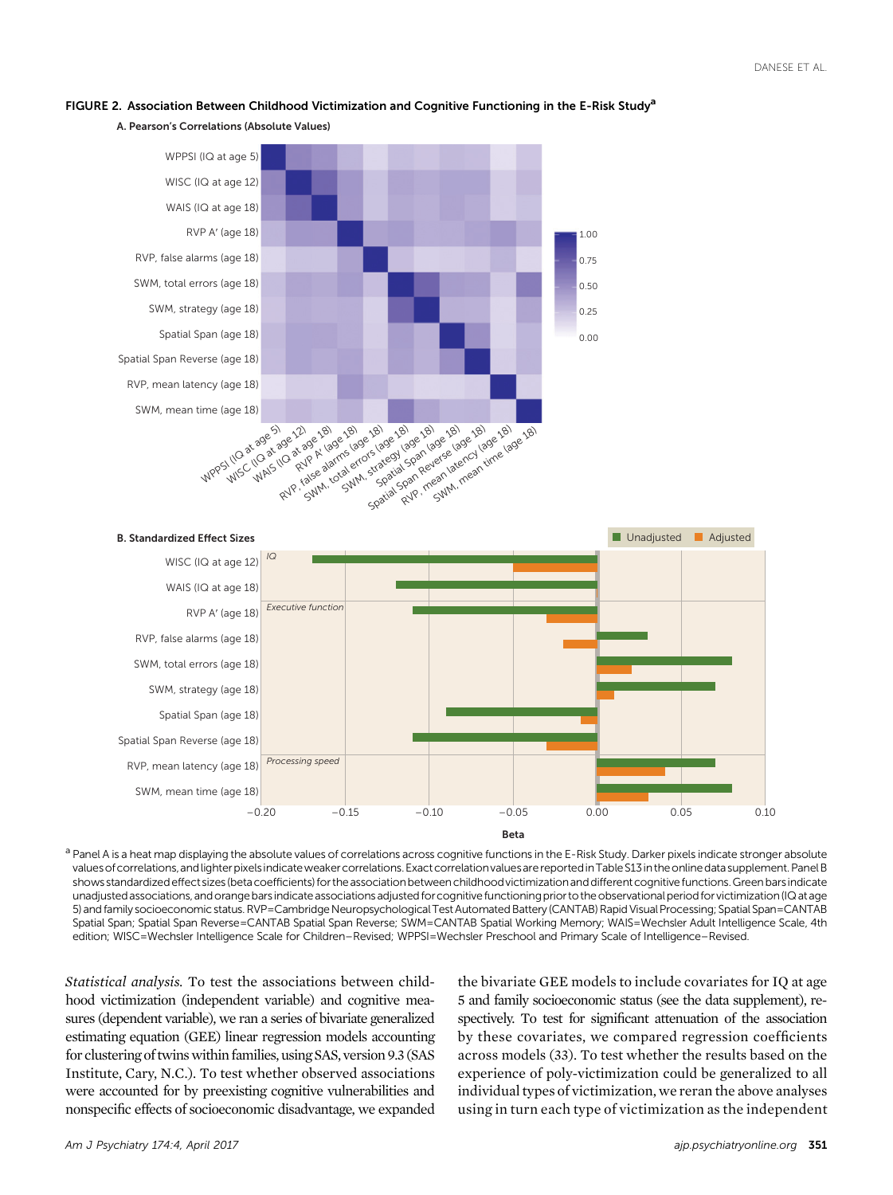#### FIGURE 2. Association Between Childhood Victimization and Cognitive Functioning in the E-Risk Study<sup>a</sup>

#### **A. Pearson's Correlations (Absolute Values)**





<sup>a</sup> Panel A is a heat map displaying the absolute values of correlations across cognitive functions in the E-Risk Study. Darker pixels indicate stronger absolute values of correlations, and lighter pixels indicate weaker correlations. Exact correlation values are reported in Table S13 in the online data supplement. Panel B shows standardizedeffect sizes(beta coefficients) for the associationbetween childhoodvictimization anddifferent cognitive functions.Green barsindicate unadjusted associations, andorangebarsindicate associations adjusted for cognitive functioningprior to the observationalperiod forvictimization(IQ at age 5) and family socioeconomic status. RVP=Cambridge Neuropsychological Test Automated Battery (CANTAB) Rapid Visual Processing; Spatial Span=CANTAB Spatial Span; Spatial Span Reverse=CANTAB Spatial Span Reverse; SWM=CANTAB Spatial Working Memory; WAIS=Wechsler Adult Intelligence Scale, 4th edition; WISC=Wechsler Intelligence Scale for Children–Revised; WPPSI=Wechsler Preschool and Primary Scale of Intelligence–Revised.

Statistical analysis. To test the associations between childhood victimization (independent variable) and cognitive measures (dependent variable), we ran a series of bivariate generalized estimating equation (GEE) linear regression models accounting for clustering of twins within families, using SAS, version 9.3 (SAS Institute, Cary, N.C.). To test whether observed associations were accounted for by preexisting cognitive vulnerabilities and nonspecific effects of socioeconomic disadvantage, we expanded

the bivariate GEE models to include covariates for IQ at age 5 and family socioeconomic status (see the data supplement), respectively. To test for significant attenuation of the association by these covariates, we compared regression coefficients across models (33). To test whether the results based on the experience of poly-victimization could be generalized to all individual types of victimization, we reran the above analyses using in turn each type of victimization as the independent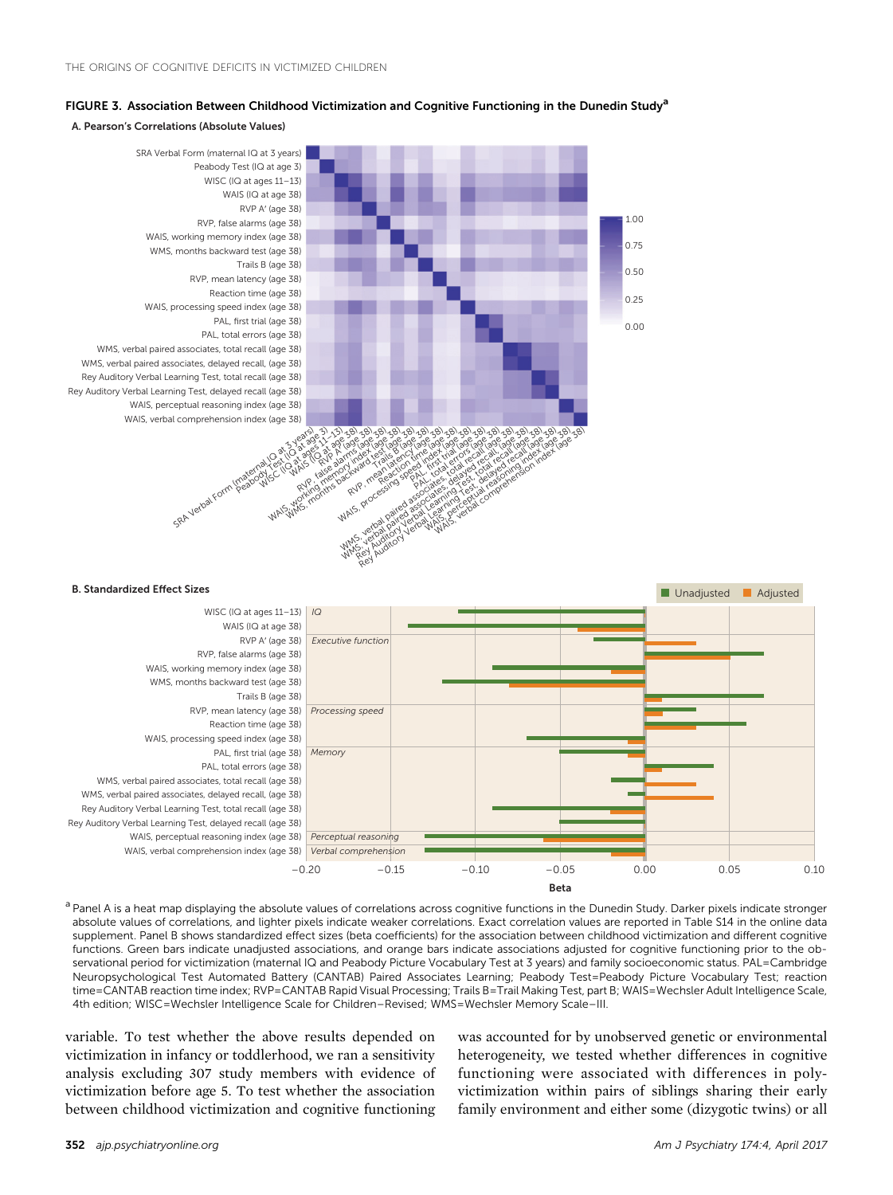#### FIGURE 3. Association Between Childhood Victimization and Cognitive Functioning in the Dunedin Study<sup>a</sup>

#### **A. Pearson's Correlations (Absolute Values)**





<sup>a</sup> Panel A is a heat map displaying the absolute values of correlations across cognitive functions in the Dunedin Study. Darker pixels indicate stronger absolute values of correlations, and lighter pixels indicate weaker correlations. Exact correlation values are reported in Table S14 in the online data supplement. Panel B shows standardized effect sizes (beta coefficients) for the association between childhood victimization and different cognitive functions. Green bars indicate unadjusted associations, and orange bars indicate associations adjusted for cognitive functioning prior to the observational period for victimization (maternal IQ and Peabody Picture Vocabulary Test at 3 years) and family socioeconomic status. PAL=Cambridge Neuropsychological Test Automated Battery (CANTAB) Paired Associates Learning; Peabody Test=Peabody Picture Vocabulary Test; reaction time=CANTAB reaction time index; RVP=CANTAB Rapid Visual Processing; Trails B=Trail Making Test, part B; WAIS=Wechsler Adult Intelligence Scale, 4th edition; WISC=Wechsler Intelligence Scale for Children–Revised; WMS=Wechsler Memory Scale–III.

variable. To test whether the above results depended on victimization in infancy or toddlerhood, we ran a sensitivity analysis excluding 307 study members with evidence of victimization before age 5. To test whether the association between childhood victimization and cognitive functioning

was accounted for by unobserved genetic or environmental heterogeneity, we tested whether differences in cognitive functioning were associated with differences in polyvictimization within pairs of siblings sharing their early family environment and either some (dizygotic twins) or all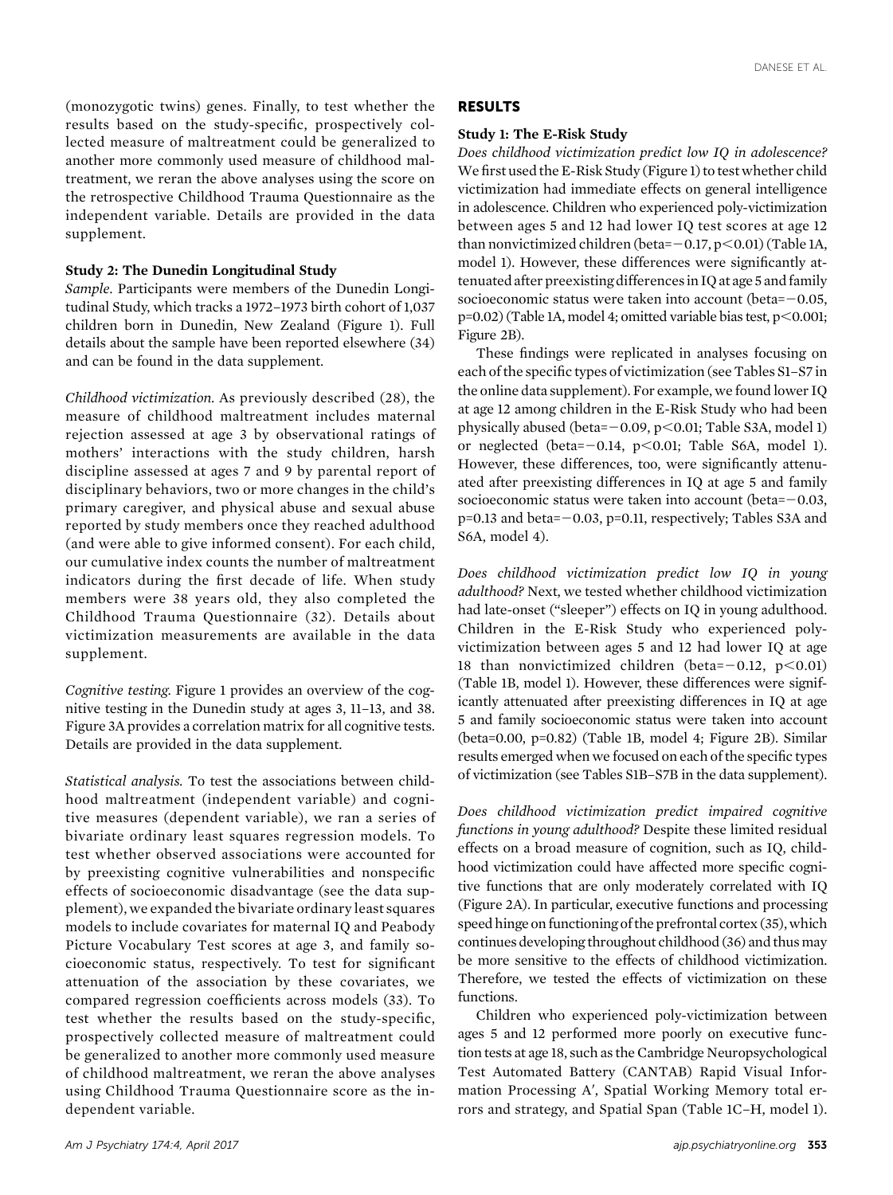(monozygotic twins) genes. Finally, to test whether the results based on the study-specific, prospectively collected measure of maltreatment could be generalized to another more commonly used measure of childhood maltreatment, we reran the above analyses using the score on the retrospective Childhood Trauma Questionnaire as the independent variable. Details are provided in the data supplement.

## Study 2: The Dunedin Longitudinal Study

Sample. Participants were members of the Dunedin Longitudinal Study, which tracks a 1972–1973 birth cohort of 1,037 children born in Dunedin, New Zealand (Figure 1). Full details about the sample have been reported elsewhere (34) and can be found in the data supplement.

Childhood victimization. As previously described (28), the measure of childhood maltreatment includes maternal rejection assessed at age 3 by observational ratings of mothers' interactions with the study children, harsh discipline assessed at ages 7 and 9 by parental report of disciplinary behaviors, two or more changes in the child's primary caregiver, and physical abuse and sexual abuse reported by study members once they reached adulthood (and were able to give informed consent). For each child, our cumulative index counts the number of maltreatment indicators during the first decade of life. When study members were 38 years old, they also completed the Childhood Trauma Questionnaire (32). Details about victimization measurements are available in the data supplement.

Cognitive testing. Figure 1 provides an overview of the cognitive testing in the Dunedin study at ages 3, 11–13, and 38. Figure 3A provides a correlation matrix for all cognitive tests. Details are provided in the data supplement.

Statistical analysis. To test the associations between childhood maltreatment (independent variable) and cognitive measures (dependent variable), we ran a series of bivariate ordinary least squares regression models. To test whether observed associations were accounted for by preexisting cognitive vulnerabilities and nonspecific effects of socioeconomic disadvantage (see the data supplement), we expanded the bivariate ordinary least squares models to include covariates for maternal IQ and Peabody Picture Vocabulary Test scores at age 3, and family socioeconomic status, respectively. To test for significant attenuation of the association by these covariates, we compared regression coefficients across models (33). To test whether the results based on the study-specific, prospectively collected measure of maltreatment could be generalized to another more commonly used measure of childhood maltreatment, we reran the above analyses using Childhood Trauma Questionnaire score as the independent variable.

## Study 1: The E-Risk Study

Does childhood victimization predict low IQ in adolescence? Wefirst used the E-Risk Study (Figure 1) to test whether child victimization had immediate effects on general intelligence in adolescence. Children who experienced poly-victimization between ages 5 and 12 had lower IQ test scores at age 12 than nonvictimized children (beta= $-0.17$ , p $<$ 0.01) (Table 1A, model 1). However, these differences were significantly attenuated after preexisting differencesin IQ at age 5 and family socioeconomic status were taken into account (beta $=-0.05$ ,  $p=0.02$ ) (Table 1A, model 4; omitted variable bias test,  $p<0.001$ ; Figure 2B).

These findings were replicated in analyses focusing on each of the specific types of victimization (see Tables S1–S7 in the online data supplement). For example, we found lower IQ at age 12 among children in the E-Risk Study who had been physically abused (beta= $-0.09$ , p $<$ 0.01; Table S3A, model 1) or neglected (beta= $-0.14$ , p $< 0.01$ ; Table S6A, model 1). However, these differences, too, were significantly attenuated after preexisting differences in IQ at age 5 and family socioeconomic status were taken into account (beta $=-0.03$ ,  $p=0.13$  and beta= $-0.03$ ,  $p=0.11$ , respectively; Tables S3A and S6A, model 4).

Does childhood victimization predict low IQ in young adulthood? Next, we tested whether childhood victimization had late-onset ("sleeper") effects on IQ in young adulthood. Children in the E-Risk Study who experienced polyvictimization between ages 5 and 12 had lower IQ at age 18 than nonvictimized children (beta= $-0.12$ , p $< 0.01$ ) (Table 1B, model 1). However, these differences were significantly attenuated after preexisting differences in IQ at age 5 and family socioeconomic status were taken into account (beta=0.00, p=0.82) (Table 1B, model 4; Figure 2B). Similar results emerged when we focused on each of the specific types of victimization (see Tables S1B–S7B in the data supplement).

Does childhood victimization predict impaired cognitive functions in young adulthood? Despite these limited residual effects on a broad measure of cognition, such as IQ, childhood victimization could have affected more specific cognitive functions that are only moderately correlated with IQ (Figure 2A). In particular, executive functions and processing speed hinge on functioning of the prefrontal cortex (35), which continues developing throughout childhood (36) and thus may be more sensitive to the effects of childhood victimization. Therefore, we tested the effects of victimization on these functions.

Children who experienced poly-victimization between ages 5 and 12 performed more poorly on executive function tests at age 18, such as the Cambridge Neuropsychological Test Automated Battery (CANTAB) Rapid Visual Information Processing A', Spatial Working Memory total errors and strategy, and Spatial Span (Table 1C–H, model 1).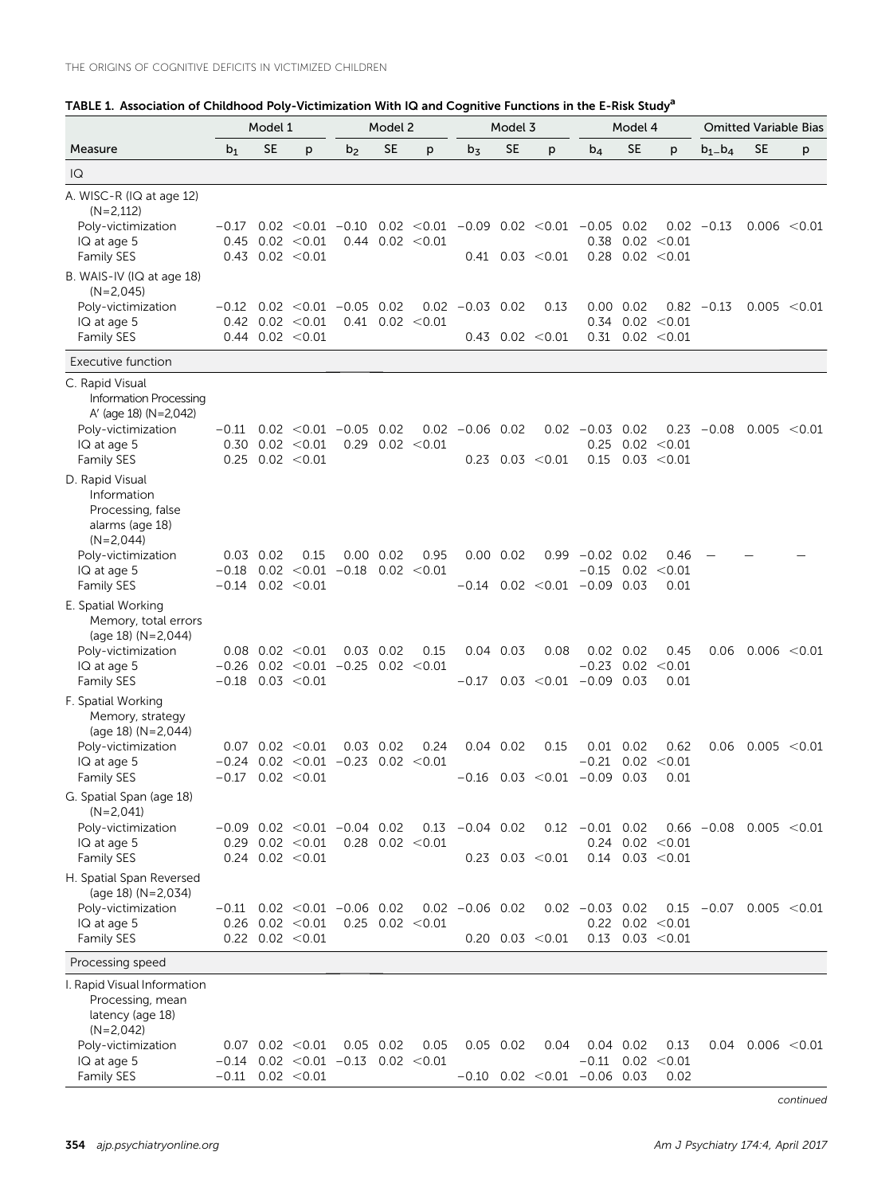| TABLE 1.  Association of Childhood Poly-Victimization With IQ and Cognitive Functions in the E-Risk Study <sup>a</sup> |  |  |  |  |
|------------------------------------------------------------------------------------------------------------------------|--|--|--|--|
|                                                                                                                        |  |  |  |  |

|                                                                                                            | sinunova i vij | Model 1     |                                           |                                         | Model 2       |                        |                   | Model 3       | <b>TRAILEAGH MARTIN AND COMMUNE I ANCHOIS IN THE E THISK STARY</b> |                               | Model 4           |                                                  | <b>Omitted Variable Bias</b> |                     |              |  |
|------------------------------------------------------------------------------------------------------------|----------------|-------------|-------------------------------------------|-----------------------------------------|---------------|------------------------|-------------------|---------------|--------------------------------------------------------------------|-------------------------------|-------------------|--------------------------------------------------|------------------------------|---------------------|--------------|--|
| Measure                                                                                                    | $b_1$          | <b>SE</b>   | p                                         | b <sub>2</sub>                          | SE            | p                      | $b_3$             | SE            | p                                                                  | $b_4$                         | SE                | p                                                | $b_1 - b_4$                  | <b>SE</b>           | р            |  |
| IQ                                                                                                         |                |             |                                           |                                         |               |                        |                   |               |                                                                    |                               |                   |                                                  |                              |                     |              |  |
| A. WISC-R (IQ at age 12)<br>$(N=2,112)$<br>Poly-victimization                                              | $-0.17$        |             | $0.02 \le 0.01 - 0.10$                    |                                         |               |                        |                   |               | $0.02$ < $0.01$ -0.09 0.02 < 0.01 -0.05 0.02                       |                               |                   |                                                  | $0.02 -0.13$                 |                     | 0.006 < 0.01 |  |
| IQ at age 5<br><b>Family SES</b>                                                                           |                |             | $0.45$ 0.02 < 0.01<br>$0.43$ 0.02 < 0.01  |                                         |               | $0.44$ 0.02 < 0.01     |                   |               | $0.41$ $0.03$ < $0.01$                                             | 0.28                          |                   | $0.38$ 0.02 < 0.01<br>$0.02 \sim 0.01$           |                              |                     |              |  |
| B. WAIS-IV (IQ at age 18)<br>$(N=2,045)$<br>Poly-victimization                                             |                |             |                                           |                                         |               |                        |                   |               |                                                                    |                               |                   |                                                  |                              |                     |              |  |
| IQ at age 5<br><b>Family SES</b>                                                                           |                |             | $0.42$ 0.02 < 0.01<br>$0.44$ 0.02 < 0.01  | $-0.12$ 0.02 < 0.01 $-0.05$ 0.02        |               | $0.41$ $0.02$ < $0.01$ | $0.02 -0.03 0.02$ |               | 0.13<br>$0.43$ 0.02 < 0.01                                         |                               | $0.00 \quad 0.02$ | $0.34$ $0.02$ < $0.01$<br>$0.31$ $0.02$ < $0.01$ | $0.82 - 0.13$                |                     | 0.005 < 0.01 |  |
| <b>Executive function</b>                                                                                  |                |             |                                           |                                         |               |                        |                   |               |                                                                    |                               |                   |                                                  |                              |                     |              |  |
| C. Rapid Visual<br><b>Information Processing</b><br>A' (age 18) (N=2,042)                                  |                |             |                                           |                                         |               |                        |                   |               |                                                                    |                               |                   |                                                  |                              |                     |              |  |
| Poly-victimization<br>IQ at age 5                                                                          |                |             | $0.30$ $0.02$ < $0.01$                    | $-0.11$ 0.02 $<$ 0.01 $-0.05$ 0.02      |               | $0.29$ $0.02$ < $0.01$ | $0.02 -0.06 0.02$ |               |                                                                    | $0.02 -0.03 0.02$<br>0.25     |                   | 0.02 < 0.01                                      | $0.23 - 0.08$                | 0.005 < 0.01        |              |  |
| <b>Family SES</b><br>D. Rapid Visual<br>Information<br>Processing, false<br>alarms (age 18)<br>$(N=2,044)$ |                |             | $0.25$ 0.02 < 0.01                        |                                         |               |                        |                   |               | $0.23$ 0.03 < 0.01                                                 | 0.15                          |                   | 0.03 < 0.01                                      |                              |                     |              |  |
| Poly-victimization<br>IQ at age 5<br><b>Family SES</b>                                                     |                | $0.03$ 0.02 | 0.15<br>$-0.14$ 0.02 < 0.01               | $-0.18$ 0.02 < 0.01 - 0.18 0.02 < 0.01  | $0.00$ $0.02$ | 0.95                   |                   | $0.00$ $0.02$ | $-0.14$ 0.02 < 0.01 - 0.09 0.03                                    | $0.99 - 0.02 0.02$<br>$-0.15$ |                   | 0.46<br>0.02 < 0.01<br>0.01                      |                              |                     |              |  |
| E. Spatial Working<br>Memory, total errors<br>$(aqe 18) (N=2,044)$                                         |                |             |                                           |                                         |               |                        |                   |               |                                                                    |                               |                   |                                                  |                              |                     |              |  |
| Poly-victimization<br>IQ at age 5<br><b>Family SES</b>                                                     |                |             | $0.08$ 0.02 < 0.01<br>$-0.18$ 0.03 < 0.01 | $-0.26$ 0.02 < 0.01 $-0.25$ 0.02 < 0.01 | $0.03$ 0.02   | 0.15                   | $-0.17$           | $0.04$ 0.03   | 0.08<br>$0.03$ < $0.01$ -0.09 0.03                                 | $-0.23$                       | $0.02$ 0.02       | 0.45<br>0.02 < 0.01<br>0.01                      | 0.06                         | $0.006<$ $<$ $0.01$ |              |  |
| F. Spatial Working<br>Memory, strategy<br>(age 18) $(N=2,044)$                                             |                |             |                                           |                                         |               |                        |                   |               |                                                                    |                               |                   |                                                  |                              |                     |              |  |
| Poly-victimization<br>IQ at age 5<br>Family SES                                                            | $-0.24$        |             | $0.07$ 0.02 < 0.01<br>$-0.17$ 0.02 < 0.01 | $0.02$ < $0.01$ -0.23 0.02 < 0.01       | $0.03$ 0.02   | 0.24                   |                   | $0.04$ 0.02   | 0.15<br>$-0.16$ 0.03 < 0.01 $-0.09$ 0.03                           | $-0.21$                       | $0.01$ 0.02       | 0.62<br>0.02 < 0.01<br>0.01                      | 0.06                         | 0.005 < 0.01        |              |  |
| G. Spatial Span (age 18)<br>$(N=2,041)$                                                                    |                |             |                                           |                                         |               |                        |                   |               |                                                                    |                               |                   |                                                  |                              |                     |              |  |
| Poly-victimization<br>IQ at age 5<br>Family SES                                                            |                |             | $0.29$ 0.02 < 0.01<br>$0.24$ 0.02 < 0.01  | $-0.09$ 0.02 $<$ 0.01 $-0.04$ 0.02      |               | $0.28$ 0.02 < 0.01     | $0.13 -0.04 0.02$ |               | $0.23$ 0.03 < 0.01                                                 | $0.12 -0.01 0.02$             |                   | $0.24$ 0.02 < 0.01<br>$0.14$ 0.03 < 0.01         | $0.66 - 0.08$ 0.005 < 0.01   |                     |              |  |
| H. Spatial Span Reversed<br>(age $18$ ) (N=2,034)                                                          |                |             |                                           |                                         |               |                        |                   |               |                                                                    |                               |                   |                                                  |                              |                     |              |  |
| Poly-victimization<br>IQ at age 5<br><b>Family SES</b>                                                     |                |             | $0.26$ 0.02 < 0.01<br>$0.22$ 0.02 < 0.01  | $-0.11$ 0.02 < 0.01 - 0.06 0.02         |               | $0.25$ 0.02 < 0.01     | $0.02 -0.06 0.02$ |               | $0.20$ $0.03$ $< 0.01$                                             | $0.02 -0.03 0.02$             |                   | $0.22$ 0.02 < 0.01<br>$0.13$ 0.03 < 0.01         | $0.15 -0.07$ 0.005 < 0.01    |                     |              |  |
| Processing speed                                                                                           |                |             |                                           |                                         |               |                        |                   |               |                                                                    |                               |                   |                                                  |                              |                     |              |  |
| I. Rapid Visual Information<br>Processing, mean<br>latency (age 18)                                        |                |             |                                           |                                         |               |                        |                   |               |                                                                    |                               |                   |                                                  |                              |                     |              |  |
| $(N=2,042)$<br>Poly-victimization<br>IQ at age 5<br>Family SES                                             |                |             | $0.07$ 0.02 < 0.01<br>$-0.11$ 0.02 < 0.01 | $-0.14$ 0.02 < 0.01 - 0.13 0.02 < 0.01  | $0.05$ 0.02   | 0.05                   |                   | $0.05$ 0.02   | 0.04<br>$-0.10$ 0.02 < 0.01 - 0.06 0.03                            |                               | $0.04$ 0.02       | 0.13<br>$-0.11$ 0.02 < 0.01<br>0.02              |                              | $0.04$ 0.006 < 0.01 |              |  |

continued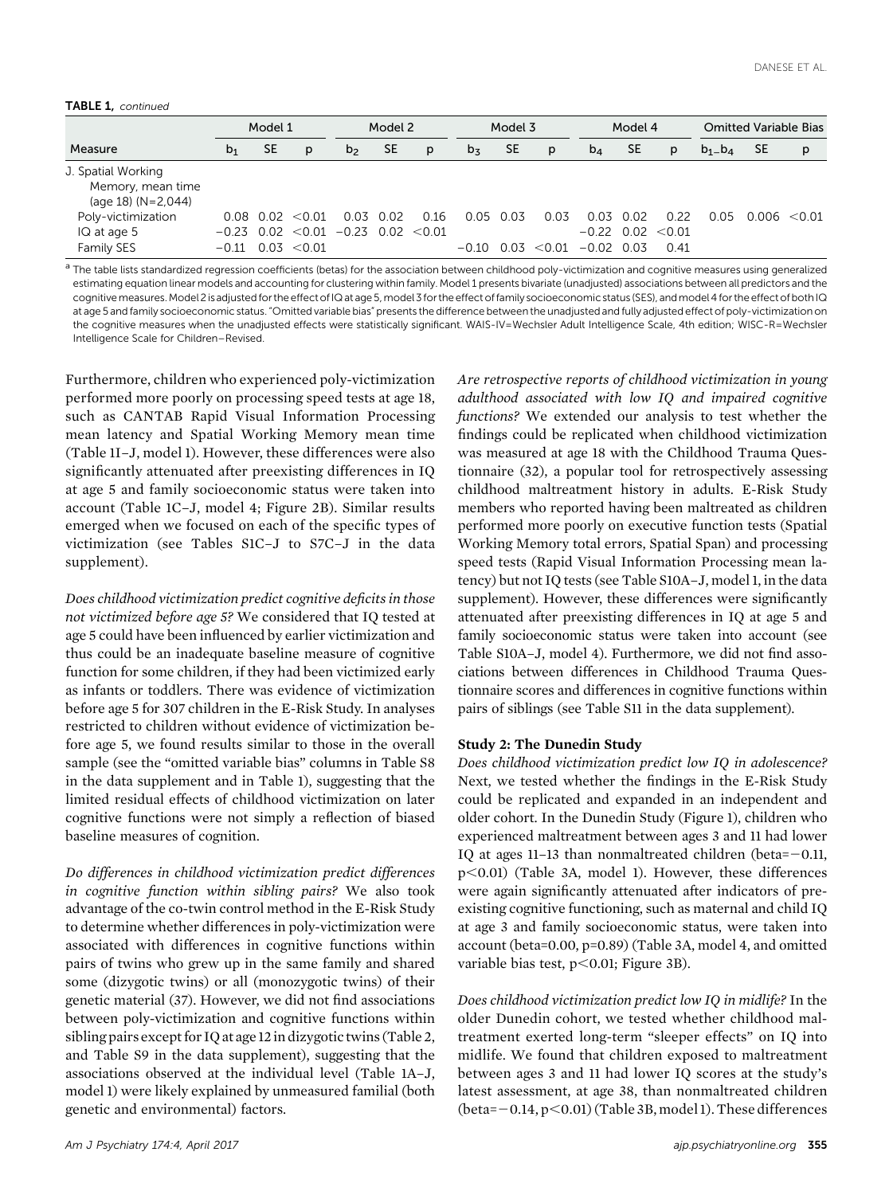#### TABLE 1, continued

|                                                               |                | Model 1   |                                                                                        |                | Model 2 |      |       | Model 3     |                               |              | Model 4   |                                     |             | <b>Omitted Variable Bias</b> |   |  |  |
|---------------------------------------------------------------|----------------|-----------|----------------------------------------------------------------------------------------|----------------|---------|------|-------|-------------|-------------------------------|--------------|-----------|-------------------------------------|-------------|------------------------------|---|--|--|
| Measure                                                       | b <sub>1</sub> | <b>SE</b> | p                                                                                      | b <sub>2</sub> | SE.     | p    | $b_3$ | SE.         | p                             | $b_4$        | <b>SE</b> | p                                   | $b_1 - b_4$ | -SE                          | p |  |  |
| J. Spatial Working<br>Memory, mean time<br>(age 18) (N=2,044) |                |           |                                                                                        |                |         |      |       |             |                               |              |           |                                     |             |                              |   |  |  |
| Poly-victimization<br>IQ at age 5<br>Family SES               |                |           | $0.08$ $0.02$ $0.01$<br>$-0.23$ 0.02 < 0.01 $-0.23$ 0.02 < 0.01<br>$-0.11$ 0.03 < 0.01 | 0.03           | 0.O2    | 0.16 |       | $0.05$ 0.03 | 0.03<br>$-0.10$ 0.03 $< 0.01$ | $-0.02$ 0.03 | 0.03 0.02 | O 22<br>$-0.22$ 0.02 < 0.01<br>በ 41 | O 05        | 0.006 < 0.01                 |   |  |  |

<sup>a</sup> The table lists standardized regression coefficients (betas) for the association between childhood poly-victimization and cognitive measures using generalized estimating equation linear models and accounting for clustering within family. Model 1 presents bivariate (unadjusted) associations between all predictors and the cognitive measures. Model 2 is adjusted for the effect of IQ at age 5, model 3 for the effect of family socioeconomic status (SES), and model 4 for the effect of both IQ at age 5 and family socioeconomic status."Omitted variable bias" presents the difference between the unadjusted and fully adjusted effect of poly-victimization on the cognitive measures when the unadjusted effects were statistically significant. WAIS-IV=Wechsler Adult Intelligence Scale, 4th edition; WISC-R=Wechsler Intelligence Scale for Children–Revised.

Furthermore, children who experienced poly-victimization performed more poorly on processing speed tests at age 18, such as CANTAB Rapid Visual Information Processing mean latency and Spatial Working Memory mean time (Table 1I–J, model 1). However, these differences were also significantly attenuated after preexisting differences in IQ at age 5 and family socioeconomic status were taken into account (Table 1C–J, model 4; Figure 2B). Similar results emerged when we focused on each of the specific types of victimization (see Tables S1C–J to S7C–J in the data supplement).

Does childhood victimization predict cognitive deficits in those not victimized before age 5? We considered that IQ tested at age 5 could have been influenced by earlier victimization and thus could be an inadequate baseline measure of cognitive function for some children, if they had been victimized early as infants or toddlers. There was evidence of victimization before age 5 for 307 children in the E-Risk Study. In analyses restricted to children without evidence of victimization before age 5, we found results similar to those in the overall sample (see the "omitted variable bias" columns in Table S8 in the data supplement and in Table 1), suggesting that the limited residual effects of childhood victimization on later cognitive functions were not simply a reflection of biased baseline measures of cognition.

Do differences in childhood victimization predict differences in cognitive function within sibling pairs? We also took advantage of the co-twin control method in the E-Risk Study to determine whether differences in poly-victimization were associated with differences in cognitive functions within pairs of twins who grew up in the same family and shared some (dizygotic twins) or all (monozygotic twins) of their genetic material (37). However, we did not find associations between poly-victimization and cognitive functions within sibling pairs except for IQ at age 12 in dizygotic twins (Table 2, and Table S9 in the data supplement), suggesting that the associations observed at the individual level (Table 1A–J, model 1) were likely explained by unmeasured familial (both genetic and environmental) factors.

Are retrospective reports of childhood victimization in young adulthood associated with low IQ and impaired cognitive functions? We extended our analysis to test whether the findings could be replicated when childhood victimization was measured at age 18 with the Childhood Trauma Questionnaire (32), a popular tool for retrospectively assessing childhood maltreatment history in adults. E-Risk Study members who reported having been maltreated as children performed more poorly on executive function tests (Spatial Working Memory total errors, Spatial Span) and processing speed tests (Rapid Visual Information Processing mean latency) but not IQ tests (see Table S10A–J, model 1, in the data supplement). However, these differences were significantly attenuated after preexisting differences in IQ at age 5 and family socioeconomic status were taken into account (see Table S10A–J, model 4). Furthermore, we did not find associations between differences in Childhood Trauma Questionnaire scores and differences in cognitive functions within pairs of siblings (see Table S11 in the data supplement).

#### Study 2: The Dunedin Study

Does childhood victimization predict low IQ in adolescence? Next, we tested whether the findings in the E-Risk Study could be replicated and expanded in an independent and older cohort. In the Dunedin Study (Figure 1), children who experienced maltreatment between ages 3 and 11 had lower IQ at ages  $11-13$  than nonmaltreated children (beta= $-0.11$ , p<0.01) (Table 3A, model 1). However, these differences were again significantly attenuated after indicators of preexisting cognitive functioning, such as maternal and child IQ at age 3 and family socioeconomic status, were taken into account (beta=0.00, p=0.89) (Table 3A, model 4, and omitted variable bias test,  $p<0.01$ ; Figure 3B).

Does childhood victimization predict low IQ in midlife? In the older Dunedin cohort, we tested whether childhood maltreatment exerted long-term "sleeper effects" on IQ into midlife. We found that children exposed to maltreatment between ages 3 and 11 had lower IQ scores at the study's latest assessment, at age 38, than nonmaltreated children (beta= $-0.14$ , p $< 0.01$ ) (Table 3B, model 1). These differences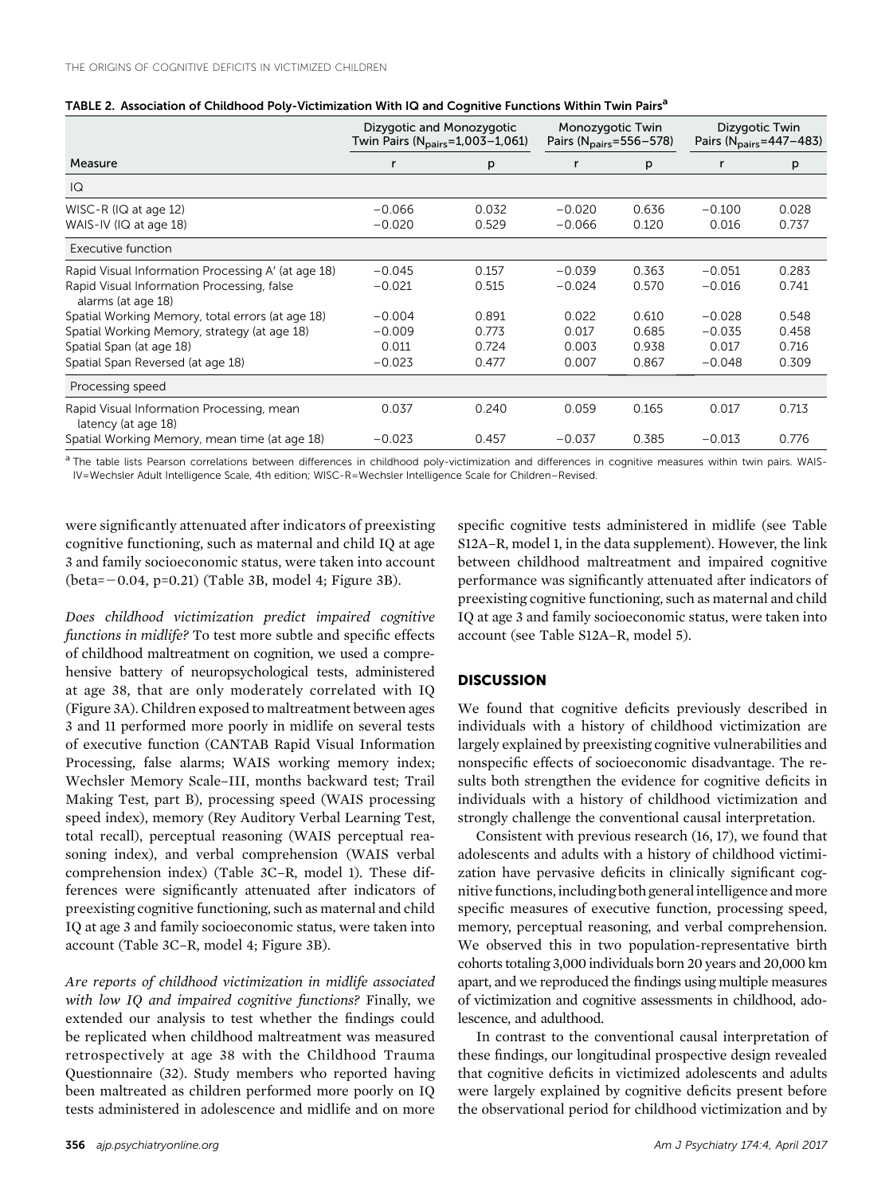|                                                                   | Dizygotic and Monozygotic                          |                                                          | Monozygotic Twin                                   | Dizygotic Twin<br>Pairs ( $N_{\text{pairs}}$ =447-483)            |                                                    |  |
|-------------------------------------------------------------------|----------------------------------------------------|----------------------------------------------------------|----------------------------------------------------|-------------------------------------------------------------------|----------------------------------------------------|--|
| r                                                                 | р                                                  | r                                                        | p                                                  | r                                                                 | p                                                  |  |
|                                                                   |                                                    |                                                          |                                                    |                                                                   |                                                    |  |
| $-0.066$<br>$-0.020$                                              | 0.032<br>0.529                                     | $-0.020$<br>$-0.066$                                     | 0.636<br>0.120                                     | $-0.100$<br>0.016                                                 | 0.028<br>0.737                                     |  |
|                                                                   |                                                    |                                                          |                                                    |                                                                   |                                                    |  |
| $-0.045$<br>$-0.021$<br>$-0.004$<br>$-0.009$<br>0.011<br>$-0.023$ | 0.157<br>0.515<br>0.891<br>0.773<br>0.724<br>0.477 | $-0.039$<br>$-0.024$<br>0.022<br>0.017<br>0.003<br>0.007 | 0.363<br>0.570<br>0.610<br>0.685<br>0.938<br>0.867 | $-0.051$<br>$-0.016$<br>$-0.028$<br>$-0.035$<br>0.017<br>$-0.048$ | 0.283<br>0.741<br>0.548<br>0.458<br>0.716<br>0.309 |  |
|                                                                   |                                                    |                                                          |                                                    |                                                                   |                                                    |  |
| 0.037                                                             | 0.240                                              | 0.059                                                    | 0.165                                              | 0.017                                                             | 0.713<br>0.776                                     |  |
|                                                                   | $-0.023$                                           | Twin Pairs (N <sub>pairs</sub> =1,003-1,061)<br>0.457    | $-0.037$                                           | Pairs ( $N_{\text{pairs}}$ =556–578)<br>0.385                     | $-0.013$                                           |  |

|  |  | TABLE 2. Association of Childhood Poly-Victimization With IQ and Cognitive Functions Within Twin Pairs <sup>a</sup> |  |
|--|--|---------------------------------------------------------------------------------------------------------------------|--|
|  |  |                                                                                                                     |  |

a The table lists Pearson correlations between differences in childhood poly-victimization and differences in cognitive measures within twin pairs. WAIS-IV=Wechsler Adult Intelligence Scale, 4th edition; WISC-R=Wechsler Intelligence Scale for Children–Revised.

were significantly attenuated after indicators of preexisting cognitive functioning, such as maternal and child IQ at age 3 and family socioeconomic status, were taken into account  $(beta=-0.04, p=0.21)$  (Table 3B, model 4; Figure 3B).

Does childhood victimization predict impaired cognitive functions in midlife? To test more subtle and specific effects of childhood maltreatment on cognition, we used a comprehensive battery of neuropsychological tests, administered at age 38, that are only moderately correlated with IQ (Figure 3A). Children exposed to maltreatment between ages 3 and 11 performed more poorly in midlife on several tests of executive function (CANTAB Rapid Visual Information Processing, false alarms; WAIS working memory index; Wechsler Memory Scale–III, months backward test; Trail Making Test, part B), processing speed (WAIS processing speed index), memory (Rey Auditory Verbal Learning Test, total recall), perceptual reasoning (WAIS perceptual reasoning index), and verbal comprehension (WAIS verbal comprehension index) (Table 3C–R, model 1). These differences were significantly attenuated after indicators of preexisting cognitive functioning, such as maternal and child IQ at age 3 and family socioeconomic status, were taken into account (Table 3C–R, model 4; Figure 3B).

Are reports of childhood victimization in midlife associated with low IQ and impaired cognitive functions? Finally, we extended our analysis to test whether the findings could be replicated when childhood maltreatment was measured retrospectively at age 38 with the Childhood Trauma Questionnaire (32). Study members who reported having been maltreated as children performed more poorly on IQ tests administered in adolescence and midlife and on more specific cognitive tests administered in midlife (see Table S12A–R, model 1, in the data supplement). However, the link between childhood maltreatment and impaired cognitive performance was significantly attenuated after indicators of preexisting cognitive functioning, such as maternal and child IQ at age 3 and family socioeconomic status, were taken into account (see Table S12A–R, model 5).

# **DISCUSSION**

We found that cognitive deficits previously described in individuals with a history of childhood victimization are largely explained by preexisting cognitive vulnerabilities and nonspecific effects of socioeconomic disadvantage. The results both strengthen the evidence for cognitive deficits in individuals with a history of childhood victimization and strongly challenge the conventional causal interpretation.

Consistent with previous research (16, 17), we found that adolescents and adults with a history of childhood victimization have pervasive deficits in clinically significant cognitive functions, including both general intelligence and more specific measures of executive function, processing speed, memory, perceptual reasoning, and verbal comprehension. We observed this in two population-representative birth cohorts totaling 3,000 individuals born 20 years and 20,000 km apart, and we reproduced the findings using multiple measures of victimization and cognitive assessments in childhood, adolescence, and adulthood.

In contrast to the conventional causal interpretation of these findings, our longitudinal prospective design revealed that cognitive deficits in victimized adolescents and adults were largely explained by cognitive deficits present before the observational period for childhood victimization and by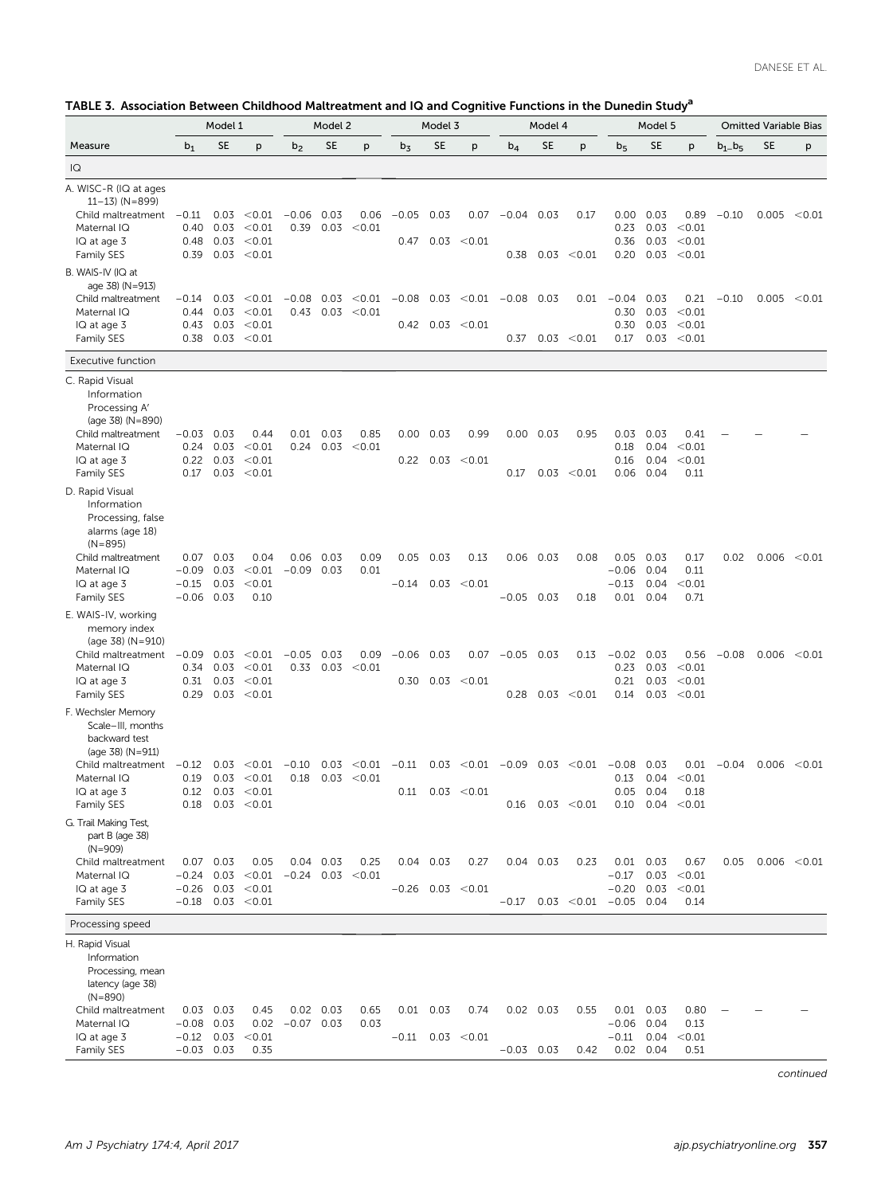TABLE 3. Association Between Childhood Maltreatment and IQ and Cognitive Functions in the Dunedin Study<sup>a</sup>

|                                                                                                   | Model 1                                      |                      |                                                   | Model 2<br>Model 3   |              |                             |                 |              | Model 4                        |                                          |             | Model 5                |                                 |                                    | <b>Omitted Variable Bias</b>       |             |           |              |
|---------------------------------------------------------------------------------------------------|----------------------------------------------|----------------------|---------------------------------------------------|----------------------|--------------|-----------------------------|-----------------|--------------|--------------------------------|------------------------------------------|-------------|------------------------|---------------------------------|------------------------------------|------------------------------------|-------------|-----------|--------------|
| Measure                                                                                           | $b_1$                                        | SE                   | p                                                 | b <sub>2</sub>       | <b>SE</b>    | p                           | b3              | <b>SE</b>    | p                              | $b_4$                                    | SE          | p                      | $b_5$                           | <b>SE</b>                          | p                                  | $b_1 - b_5$ | <b>SE</b> | p            |
| IQ                                                                                                |                                              |                      |                                                   |                      |              |                             |                 |              |                                |                                          |             |                        |                                 |                                    |                                    |             |           |              |
| A. WISC-R (IQ at ages<br>$11-13$ (N=899)<br>Child maltreatment<br>Maternal IQ                     | $-0.11$<br>0.40                              |                      | 0.03 < 0.01<br>0.03 < 0.01                        | $-0.06$<br>0.39      | 0.03<br>0.03 | 0.06<br>< 0.01              | $-0.05$ 0.03    |              | 0.07                           | $-0.04$                                  | 0.03        | 0.17                   | 0.00<br>0.23                    | 0.03<br>0.03                       | 0.89<br>< 0.01                     | $-0.10$     | 0.005     | $<$ 0.01     |
| IQ at age 3<br>Family SES                                                                         | 0.48<br>0.39                                 |                      | 0.03 < 0.01<br>0.03 < 0.01                        |                      |              |                             |                 |              | $0.47$ 0.03 < 0.01             | 0.38                                     | 0.03        | < 0.01                 | 0.36<br>0.20                    | 0.03<br>0.03                       | < 0.01<br>< 0.01                   |             |           |              |
| B. WAIS-IV (IQ at<br>age 38) (N=913)                                                              |                                              |                      |                                                   |                      |              |                             |                 |              |                                |                                          |             |                        |                                 |                                    |                                    |             |           |              |
| Child maltreatment<br>Maternal IQ<br>IQ at age 3<br><b>Family SES</b>                             | $-0.14$<br>0.44<br>0.43<br>0.38              | 0.03<br>0.03<br>0.03 | < 0.01<br>< 0.01<br>$<$ 0.01<br>0.03 < 0.01       | $-0.08$<br>0.43      | 0.03<br>0.03 | < 0.01<br>< 0.01            |                 |              | $0.42$ $0.03$ < $0.01$         | $-0.08$ 0.03 < 0.01 $-0.08$ 0.03<br>0.37 | 0.03        | 0.01<br>< 0.01         | $-0.04$<br>0.30<br>0.30<br>0.17 | 0.03<br>0.03<br>0.03<br>0.03       | 0.21<br>< 0.01<br>< 0.01<br>< 0.01 | $-0.10$     | 0.005     | $<$ 0.01     |
| Executive function                                                                                |                                              |                      |                                                   |                      |              |                             |                 |              |                                |                                          |             |                        |                                 |                                    |                                    |             |           |              |
| C. Rapid Visual<br>Information<br>Processing A'<br>(age 38) (N=890)                               |                                              |                      |                                                   |                      |              |                             |                 |              |                                |                                          |             |                        |                                 |                                    |                                    |             |           |              |
| Child maltreatment<br>Maternal IQ<br>IQ at age 3                                                  | $-0.03$ 0.03<br>0.24<br>0.22                 | 0.03                 | 0.44<br>0.03 < 0.01<br>< 0.01                     | 0.01<br>0.24         | 0.03<br>0.03 | 0.85<br>$<$ 0.01            | 0.00<br>0.22    | 0.03<br>0.03 | 0.99<br>< 0.01                 | 0.00                                     | 0.03        | 0.95                   | 0.03<br>0.18<br>0.16            | 0.03<br>0.04<br>0.04               | 0.41<br>< 0.01<br>< 0.01           |             |           |              |
| <b>Family SES</b><br>D. Rapid Visual<br>Information<br>Processing, false<br>alarms (age 18)       | 0.17                                         |                      | 0.03 < 0.01                                       |                      |              |                             |                 |              |                                | 0.17                                     | 0.03        | < 0.01                 | 0.06                            | 0.04                               | 0.11                               |             |           |              |
| $(N = 895)$<br>Child maltreatment<br>Maternal IQ<br>IQ at age 3                                   | 0.07<br>$-0.09$<br>$-0.15$                   | 0.03<br>0.03         | 0.04<br>0.03 < 0.01<br>< 0.01                     | 0.06<br>$-0.09$ 0.03 | 0.03         | 0.09<br>0.01                | 0.05<br>$-0.14$ | 0.03         | 0.13<br>0.03 < 0.01            | 0.06                                     | 0.03        | 0.08                   | 0.05<br>$-0.06$<br>$-0.13$      | 0.03<br>0.04<br>0.04               | 0.17<br>0.11<br>< 0.01             | 0.02        |           | 0.006 < 0.01 |
| Family SES<br>E. WAIS-IV, working<br>memory index<br>(age 38) (N=910)                             | $-0.06$ 0.03                                 |                      | 0.10                                              |                      |              |                             |                 |              |                                | $-0.05$ 0.03                             |             | 0.18                   | 0.01                            | 0.04                               | 0.71                               |             |           |              |
| Child maltreatment<br>Maternal IQ<br>IQ at age 3                                                  | 0.34<br>0.31                                 |                      | $-0.09$ 0.03 < 0.01<br>0.03 < 0.01<br>0.03 < 0.01 | $-0.05$<br>0.33      | 0.03<br>0.03 | 0.09<br>$<$ 0.01            | $-0.06$ 0.03    |              | 0.07<br>$0.30$ $0.03$ < $0.01$ | $-0.05$                                  | 0.03        | 0.13                   | $-0.02$<br>0.23<br>0.21         | 0.03<br>0.03<br>0.03               | 0.56<br>< 0.01<br>< 0.01           | $-0.08$     | 0.006     | < 0.01       |
| <b>Family SES</b><br>F. Wechsler Memory<br>Scale-III, months<br>backward test<br>(age 38) (N=911) | 0.29                                         |                      | 0.03 < 0.01                                       |                      |              |                             |                 |              |                                | 0.28                                     | 0.03        | < 0.01                 | 0.14                            | 0.03                               | < 0.01                             |             |           |              |
| Child maltreatment<br>Maternal IQ<br>IQ at age 3                                                  | $-0.12$<br>0.19<br>0.12                      |                      | 0.03 < 0.01<br>0.03 < 0.01<br>0.03 < 0.01         | $-0.10$<br>0.18      | 0.03<br>0.03 | < 0.01<br>< 0.01            | $-0.11$<br>0.11 |              | 0.03 < 0.01                    | $0.03 < 0.01 -0.09$ 0.03 < 0.01          |             |                        | $-0.08$<br>0.13<br>0.05         | 0.03<br>0.04<br>0.04               | 0.01<br>< 0.01<br>0.18             | $-0.04$     | 0.006     | $<$ 0.01     |
| <b>Family SES</b><br>G. Trail Making Test,<br>part B (age 38)<br>$(N=909)$                        |                                              |                      | $0.18$ 0.03 < 0.01                                |                      |              |                             |                 |              |                                |                                          |             | $0.16$ $0.03$ < $0.01$ |                                 |                                    | $0.10$ $0.04$ < $0.01$             |             |           |              |
| Child maltreatment<br>Maternal IQ<br>IQ at age 3                                                  | $-0.26$                                      | $0.07$ 0.03          | 0.05<br>$-0.24$ 0.03 < 0.01<br>0.03 < 0.01        |                      | $0.04$ 0.03  | 0.25<br>$-0.24$ 0.03 < 0.01 |                 | $0.04$ 0.03  | 0.27<br>$-0.26$ 0.03 < 0.01    |                                          | $0.04$ 0.03 | 0.23                   | $-0.17$<br>$-0.20$              | $0.01$ 0.03<br>0.03<br>0.03        | 0.67<br>< 0.01<br>< 0.01           | 0.05        |           | 0.006 < 0.01 |
| <b>Family SES</b>                                                                                 |                                              |                      | $-0.18$ 0.03 < 0.01                               |                      |              |                             |                 |              |                                | $-0.17$                                  |             |                        | $0.03$ < $0.01$ - 0.05 0.04     |                                    | 0.14                               |             |           |              |
| Processing speed                                                                                  |                                              |                      |                                                   |                      |              |                             |                 |              |                                |                                          |             |                        |                                 |                                    |                                    |             |           |              |
| H. Rapid Visual<br>Information<br>Processing, mean<br>latency (age 38)<br>$(N = 890)$             |                                              |                      |                                                   |                      |              |                             |                 |              |                                |                                          |             |                        |                                 |                                    |                                    |             |           |              |
| Child maltreatment<br>Maternal IQ<br>IQ at age 3<br>Family SES                                    | $-0.08$ 0.03<br>$-0.12$ 0.03<br>$-0.03$ 0.03 | $0.03$ 0.03          | 0.45<br>< 0.01<br>0.35                            | $0.02 -0.07 0.03$    | $0.02$ 0.03  | 0.65<br>0.03                | $-0.11$         | $0.01$ 0.03  | 0.74<br>0.03 < 0.01            | $-0.03$ 0.03                             | $0.02$ 0.03 | 0.55<br>0.42           | $-0.06$ 0.04<br>$-0.11$         | $0.01$ 0.03<br>0.04<br>$0.02$ 0.04 | 0.80<br>0.13<br>< 0.01<br>0.51     |             |           |              |

continued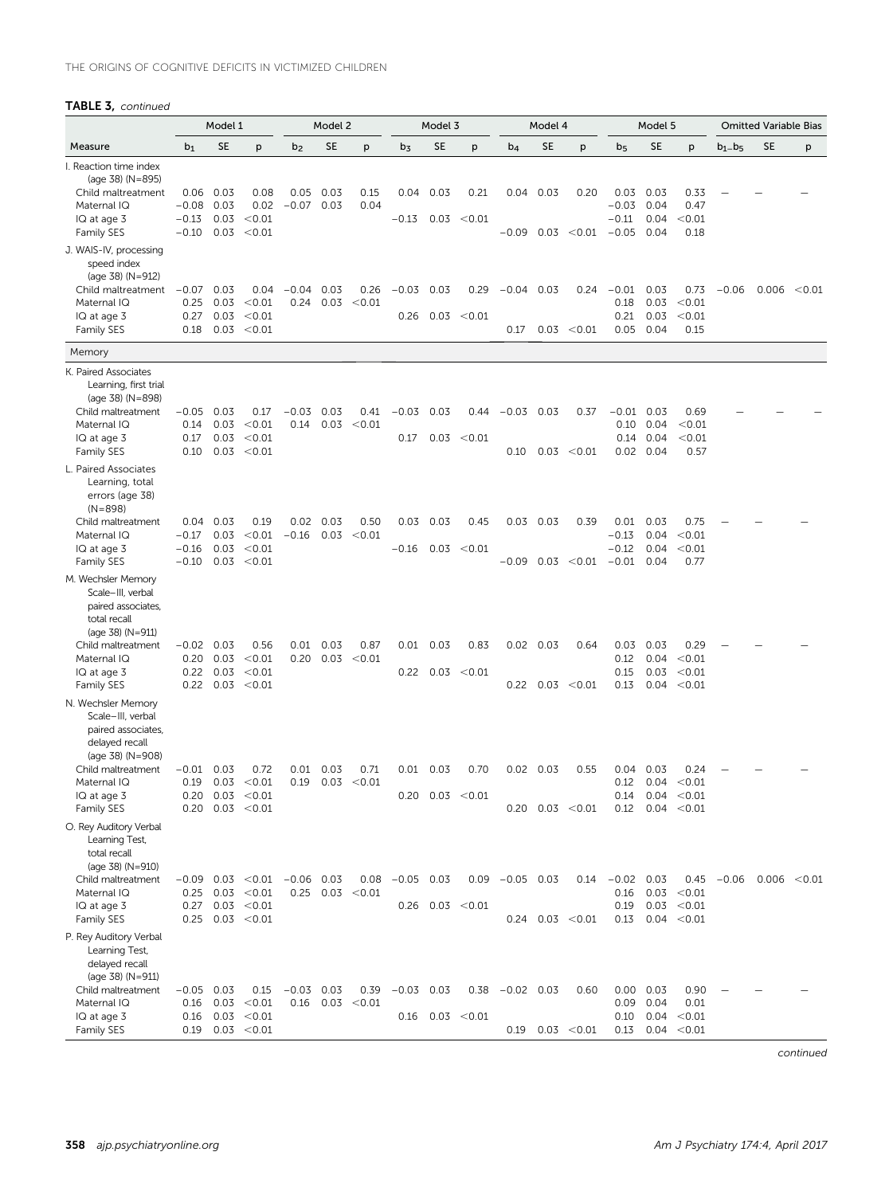## TABLE 3, continued

|                                                                                                                                              | Model 1                              |                             |                                                                                | Model 2         |              |                     |                    | Model 3       |                                |                    | Model 4   |                                |                                       | Model 5                                  |                                                             |              | <b>Omitted Variable Bias</b> |               |  |
|----------------------------------------------------------------------------------------------------------------------------------------------|--------------------------------------|-----------------------------|--------------------------------------------------------------------------------|-----------------|--------------|---------------------|--------------------|---------------|--------------------------------|--------------------|-----------|--------------------------------|---------------------------------------|------------------------------------------|-------------------------------------------------------------|--------------|------------------------------|---------------|--|
| Measure                                                                                                                                      | $b_1$                                | SE                          | p                                                                              | b <sub>2</sub>  | <b>SE</b>    | p                   | b3                 | SE            | p                              | b <sub>4</sub>     | <b>SE</b> | p                              | b <sub>5</sub>                        | SE                                       | p                                                           | $b_1 - b_5$  | <b>SE</b>                    | p             |  |
| I. Reaction time index<br>(age 38) (N=895)<br>Child maltreatment<br>Maternal IQ<br>IQ at age 3<br>Family SES                                 | $-0.08$<br>$-0.13$<br>$-0.10$        | $0.06$ 0.03<br>0.03<br>0.03 | 0.08<br>0.02<br>< 0.01<br>0.03 < 0.01                                          | 0.05<br>$-0.07$ | 0.03<br>0.03 | 0.15<br>0.04        | 0.04<br>$-0.13$    | 0.03          | 0.21<br>0.03 < 0.01            | 0.04<br>$-0.09$    | 0.03      | 0.20<br>0.03 < 0.01            | 0.03<br>$-0.03$<br>$-0.11$<br>$-0.05$ | 0.03<br>0.04<br>0.04<br>0.04             | 0.33<br>0.47<br>< 0.01<br>0.18                              |              |                              |               |  |
| J. WAIS-IV, processing<br>speed index<br>(age 38) (N=912)<br>Child maltreatment<br>Maternal IQ<br>IQ at age 3<br>Family SES                  | $-0.07$ 0.03<br>0.25<br>0.27<br>0.18 | 0.03<br>0.03<br>0.03        | 0.04<br>< 0.01<br>< 0.01<br>$<$ 0.01                                           | $-0.04$<br>0.24 | 0.03<br>0.03 | 0.26<br>< 0.01      | $-0.03$ 0.03       |               | 0.29<br>$0.26$ 0.03 < 0.01     | $-0.04$<br>0.17    | 0.03      | 0.24<br>0.03 < 0.01            | $-0.01$ 0.03<br>0.18<br>0.21<br>0.05  | 0.03<br>0.03<br>0.04                     | 0.73<br>< 0.01<br>< 0.01<br>0.15                            | $-0.06$      | 0.006                        | $<$ 0.01 $\,$ |  |
| Memory                                                                                                                                       |                                      |                             |                                                                                |                 |              |                     |                    |               |                                |                    |           |                                |                                       |                                          |                                                             |              |                              |               |  |
| K. Paired Associates<br>Learning, first trial<br>(age 38) (N=898)<br>Child maltreatment<br>Maternal IQ<br>IQ at age 3<br><b>Family SES</b>   | $-0.05$<br>0.14<br>0.17<br>0.10      | 0.03<br>0.03<br>0.03        | 0.17<br>< 0.01<br>< 0.01<br>0.03 < 0.01                                        | $-0.03$<br>0.14 | 0.03<br>0.03 | 0.41<br>< 0.01      | $-0.03$<br>0.17    | 0.03          | 0.44<br>0.03 < 0.01            | $-0.03$<br>0.10    | 0.03      | 0.37<br>0.03 < 0.01            | $-0.01$<br>0.10<br>0.14               | 0.03<br>0.04<br>0.04<br>$0.02$ 0.04      | 0.69<br>< 0.01<br>< 0.01<br>0.57                            |              |                              |               |  |
| L. Paired Associates<br>Learning, total<br>errors (age 38)<br>$(N = 898)$<br>Child maltreatment<br>Maternal IQ<br>IQ at age 3                | $-0.17$<br>$-0.16$                   | $0.04$ 0.03<br>0.03         | 0.19<br>0.03 < 0.01<br>< 0.01<br>0.03 < 0.01                                   | 0.02<br>$-0.16$ | 0.03<br>0.03 | 0.50<br>< 0.01      | 0.03<br>$-0.16$    | 0.03          | 0.45<br>0.03 < 0.01            | 0.03<br>$-0.09$    | 0.03      | 0.39<br>0.03 < 0.01            | 0.01<br>$-0.13$<br>$-0.12$<br>$-0.01$ | 0.03<br>0.04<br>0.04                     | 0.75<br>< 0.01<br>< 0.01                                    |              |                              |               |  |
| <b>Family SES</b><br>M. Wechsler Memory<br>Scale-III, verbal<br>paired associates,<br>total recall<br>(age 38) (N=911)<br>Child maltreatment | $-0.10$<br>$-0.02$ 0.03              |                             | 0.56                                                                           | 0.01            | 0.03         | 0.87                | 0.01               | 0.03          | 0.83                           | 0.02               | 0.03      | 0.64                           | 0.03                                  | 0.04<br>0.03                             | 0.77<br>0.29                                                |              |                              |               |  |
| Maternal IQ<br>IQ at age 3<br>Family SES                                                                                                     | 0.20<br>0.22<br>0.22                 | 0.03<br>0.03                | < 0.01<br>< 0.01<br>0.03 < 0.01                                                | 0.20            | 0.03         | < 0.01              |                    |               | $0.22$ $0.03$ < $0.01$         | 0.22               |           | 0.03 < 0.01                    | 0.12<br>0.15<br>0.13                  | 0.04<br>0.03<br>0.04                     | < 0.01<br>< 0.01<br>< 0.01                                  |              |                              |               |  |
| N. Wechsler Memory<br>Scale-III, verbal<br>paired associates,<br>delayed recall<br>(age 38) (N=908)<br>Child maltreatment<br>Maternal IQ     | $-0.01$<br>0.19                      | 0.03                        | 0.72<br>0.03 < 0.01                                                            | 0.01<br>0.19    | 0.03<br>0.03 | 0.71<br>< 0.01      |                    | $0.01$ $0.03$ | 0.70                           | 0.02               | 0.03      | 0.55                           | 0.04<br>0.12                          | 0.03<br>0.04                             | 0.24<br>< 0.01                                              |              |                              |               |  |
| IQ at age 3<br>Family SES                                                                                                                    |                                      |                             | $0.20$ $0.03$ < $0.01$<br>$0.20$ $0.03$ < $0.01$                               |                 |              |                     |                    |               | $0.20$ $0.03$ < $0.01$         |                    |           | $0.20$ $0.03$ < $0.01$         |                                       |                                          | $0.14$ 0.04 < 0.01<br>$0.12$ $0.04$ < $0.01$                |              |                              |               |  |
| O. Rey Auditory Verbal<br>Learning Test,<br>total recall<br>(age 38) (N=910)<br>Child maltreatment                                           |                                      |                             | $-0.09$ 0.03 < 0.01 - 0.06 0.03                                                |                 |              |                     | $0.08 - 0.05 0.03$ |               |                                | $0.09 - 0.05 0.03$ |           | 0.14                           | $-0.02$ 0.03                          |                                          |                                                             | $0.45 -0.06$ |                              | 0.006 < 0.01  |  |
| Maternal IQ<br>IQ at age 3<br>Family SES                                                                                                     |                                      |                             | $0.25$ 0.03 < 0.01<br>$0.27$ 0.03 < 0.01<br>$0.25$ 0.03 < 0.01                 |                 |              | $0.25$ 0.03 < 0.01  |                    |               | $0.26$ $0.03$ < $0.01$         |                    |           | $0.24$ 0.03 < 0.01             | 0.19                                  |                                          | $0.16$ $0.03$ < $0.01$<br>0.03 < 0.01<br>$0.13$ 0.04 < 0.01 |              |                              |               |  |
| P. Rey Auditory Verbal<br>Learning Test,<br>delayed recall<br>(age 38) (N=911)                                                               |                                      |                             |                                                                                |                 |              |                     |                    |               |                                |                    |           |                                |                                       |                                          |                                                             |              |                              |               |  |
| Child maltreatment<br>Maternal IQ<br>IQ at age 3<br>Family SES                                                                               | $-0.05$ 0.03                         |                             | 0.15<br>$0.16$ $0.03$ < $0.01$<br>$0.16$ $0.03$ < $0.01$<br>$0.19$ 0.03 < 0.01 | $-0.03$<br>0.16 | 0.03         | 0.39<br>0.03 < 0.01 | $-0.03$ 0.03       |               | 0.38<br>$0.16$ $0.03$ < $0.01$ | $-0.02$ 0.03       |           | 0.60<br>$0.19$ $0.03$ < $0.01$ | 0.10                                  | $0.00 \quad 0.03$<br>$0.09$ 0.04<br>0.04 | 0.90<br>0.01<br>< 0.01<br>$0.13$ $0.04$ < $0.01$            |              |                              |               |  |

continued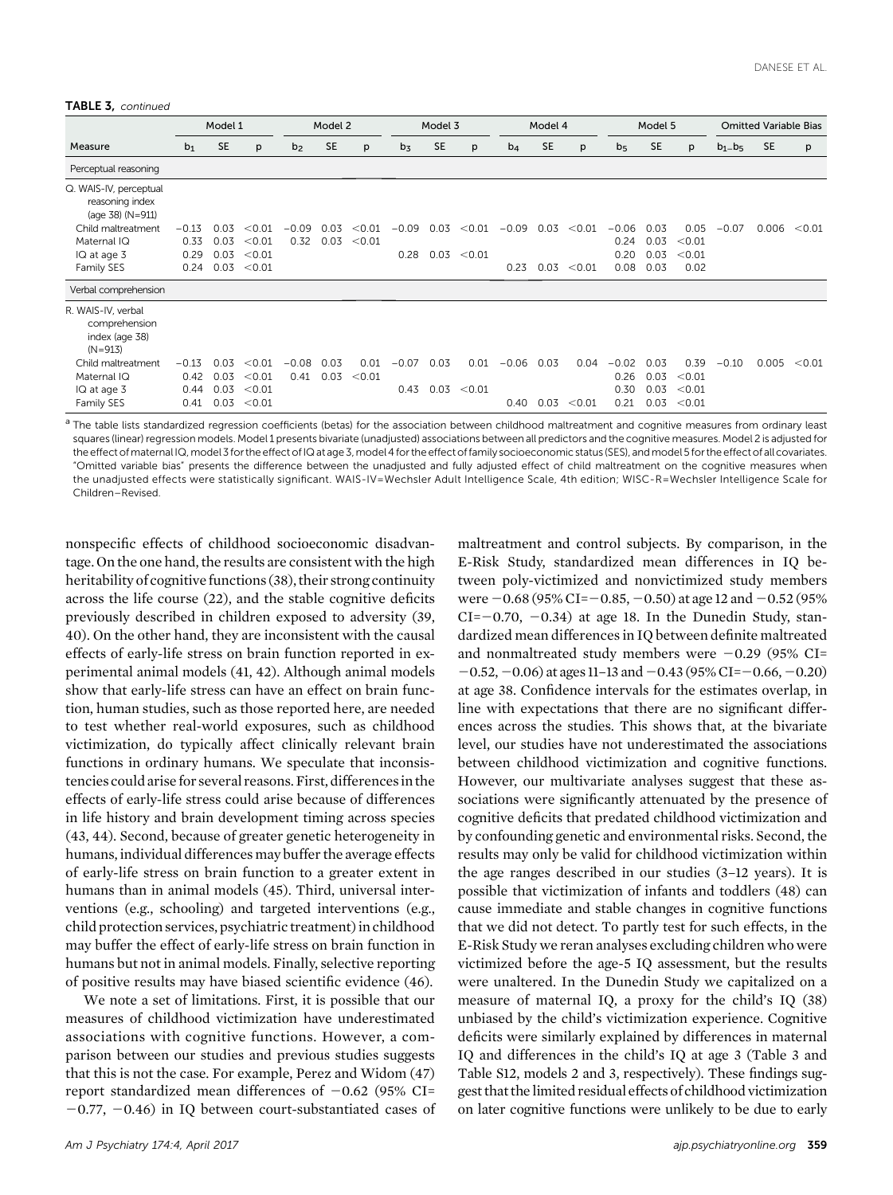TABLE 3, continued

|                                                                                          | Model 1 |           |        |                | Model 2   |        |         | Model 3   |        | Model 4        |           |        | Model 5        |           |        | <b>Omitted Variable Bias</b> |           |        |
|------------------------------------------------------------------------------------------|---------|-----------|--------|----------------|-----------|--------|---------|-----------|--------|----------------|-----------|--------|----------------|-----------|--------|------------------------------|-----------|--------|
| Measure                                                                                  | $b_1$   | <b>SE</b> | p      | b <sub>2</sub> | <b>SE</b> | p      | $b_3$   | <b>SE</b> | p      | b <sub>4</sub> | <b>SE</b> | p      | b <sub>5</sub> | <b>SE</b> | p      | $b_1 - b_5$                  | <b>SE</b> | p      |
| Perceptual reasoning                                                                     |         |           |        |                |           |        |         |           |        |                |           |        |                |           |        |                              |           |        |
| Q. WAIS-IV, perceptual<br>reasoning index<br>(age 38) (N=911)                            |         |           |        |                |           |        |         |           |        |                |           |        |                |           |        |                              |           |        |
| Child maltreatment                                                                       | $-0.13$ | 0.03      | < 0.01 | $-0.09$        | 0.03      | < 0.01 | $-0.09$ | 0.03      | < 0.01 | $-0.09$        | 0.03      | < 0.01 | $-0.06$        | 0.03      | 0.05   | $-0.07$                      | 0.006     | < 0.01 |
| Maternal IQ                                                                              | 0.33    | 0.03      | < 0.01 | 0.32           | 0.03      | < 0.01 |         |           |        |                |           |        | 0.24           | 0.03      | < 0.01 |                              |           |        |
| IQ at age 3                                                                              | 0.29    | 0.03      | < 0.01 |                |           |        | 0.28    | 0.03      | < 0.01 |                |           |        | 0.20           | 0.03      | < 0.01 |                              |           |        |
| <b>Family SES</b>                                                                        | 0.24    | 0.03      | < 0.01 |                |           |        |         |           |        | 0.23           | 0.03      | < 0.01 | 0.08           | 0.03      | 0.02   |                              |           |        |
| Verbal comprehension                                                                     |         |           |        |                |           |        |         |           |        |                |           |        |                |           |        |                              |           |        |
| R. WAIS-IV, verbal<br>comprehension<br>index (age 38)<br>$(N=913)$<br>Child maltreatment | $-0.13$ | 0.03      | < 0.01 | $-0.08$        | 0.03      | 0.01   | $-0.07$ | 0.03      | 0.01   | $-0.06$        | 0.03      | 0.04   | $-0.02$        | 0.03      | 0.39   | $-0.10$                      | 0.005     | < 0.01 |
| Maternal IQ                                                                              | 0.42    | 0.03      | < 0.01 | 0.41           | 0.03      | < 0.01 |         |           |        |                |           |        | 0.26           | 0.03      | < 0.01 |                              |           |        |
| IQ at age 3                                                                              | 0.44    | 0.03      | < 0.01 |                |           |        | 0.43    | 0.03      | < 0.01 |                |           |        | 0.30           | 0.03      | < 0.01 |                              |           |        |
| Family SES                                                                               | 0.41    | 0.03      | < 0.01 |                |           |        |         |           |        | 0.40           | 0.03      | < 0.01 | 0.21           | 0.03      | < 0.01 |                              |           |        |

a The table lists standardized regression coefficients (betas) for the association between childhood maltreatment and cognitive measures from ordinary least squares (linear) regression models. Model 1 presents bivariate (unadjusted) associations between all predictors and the cognitive measures. Model 2 is adjusted for the effect of maternal IQ, model 3 for the effect of IQ at age 3, model 4 for the effect of family socioeconomic status (SES), and model 5 for the effect of all covariates. "Omitted variable bias" presents the difference between the unadjusted and fully adjusted effect of child maltreatment on the cognitive measures when the unadjusted effects were statistically significant. WAIS-IV=Wechsler Adult Intelligence Scale, 4th edition; WISC-R=Wechsler Intelligence Scale for Children–Revised.

nonspecific effects of childhood socioeconomic disadvantage. On the one hand, the results are consistent with the high heritability of cognitive functions (38), their strong continuity across the life course (22), and the stable cognitive deficits previously described in children exposed to adversity (39, 40). On the other hand, they are inconsistent with the causal effects of early-life stress on brain function reported in experimental animal models (41, 42). Although animal models show that early-life stress can have an effect on brain function, human studies, such as those reported here, are needed to test whether real-world exposures, such as childhood victimization, do typically affect clinically relevant brain functions in ordinary humans. We speculate that inconsistencies could arise for several reasons. First, differencesin the effects of early-life stress could arise because of differences in life history and brain development timing across species (43, 44). Second, because of greater genetic heterogeneity in humans, individual differences may buffer the average effects of early-life stress on brain function to a greater extent in humans than in animal models (45). Third, universal interventions (e.g., schooling) and targeted interventions (e.g., child protection services, psychiatric treatment) in childhood may buffer the effect of early-life stress on brain function in humans but not in animal models. Finally, selective reporting of positive results may have biased scientific evidence (46).

We note a set of limitations. First, it is possible that our measures of childhood victimization have underestimated associations with cognitive functions. However, a comparison between our studies and previous studies suggests that this is not the case. For example, Perez and Widom (47) report standardized mean differences of  $-0.62$  (95% CI=  $-0.77$ ,  $-0.46$ ) in IQ between court-substantiated cases of maltreatment and control subjects. By comparison, in the E-Risk Study, standardized mean differences in IQ between poly-victimized and nonvictimized study members were  $-0.68$  (95% CI= $-0.85$ ,  $-0.50$ ) at age 12 and  $-0.52$  (95%  $CI=-0.70, -0.34$ ) at age 18. In the Dunedin Study, standardized mean differences in IQ between definite maltreated and nonmaltreated study members were  $-0.29$  (95% CI=  $-0.52, -0.06$ ) at ages 11–13 and  $-0.43$  (95% CI= $-0.66, -0.20$ ) at age 38. Confidence intervals for the estimates overlap, in line with expectations that there are no significant differences across the studies. This shows that, at the bivariate level, our studies have not underestimated the associations between childhood victimization and cognitive functions. However, our multivariate analyses suggest that these associations were significantly attenuated by the presence of cognitive deficits that predated childhood victimization and by confounding genetic and environmental risks. Second, the results may only be valid for childhood victimization within the age ranges described in our studies (3–12 years). It is possible that victimization of infants and toddlers (48) can cause immediate and stable changes in cognitive functions that we did not detect. To partly test for such effects, in the E-Risk Study we reran analyses excluding children who were victimized before the age-5 IQ assessment, but the results were unaltered. In the Dunedin Study we capitalized on a measure of maternal IQ, a proxy for the child's IQ (38) unbiased by the child's victimization experience. Cognitive deficits were similarly explained by differences in maternal IQ and differences in the child's IQ at age 3 (Table 3 and Table S12, models 2 and 3, respectively). These findings suggest that the limited residual effects of childhood victimization on later cognitive functions were unlikely to be due to early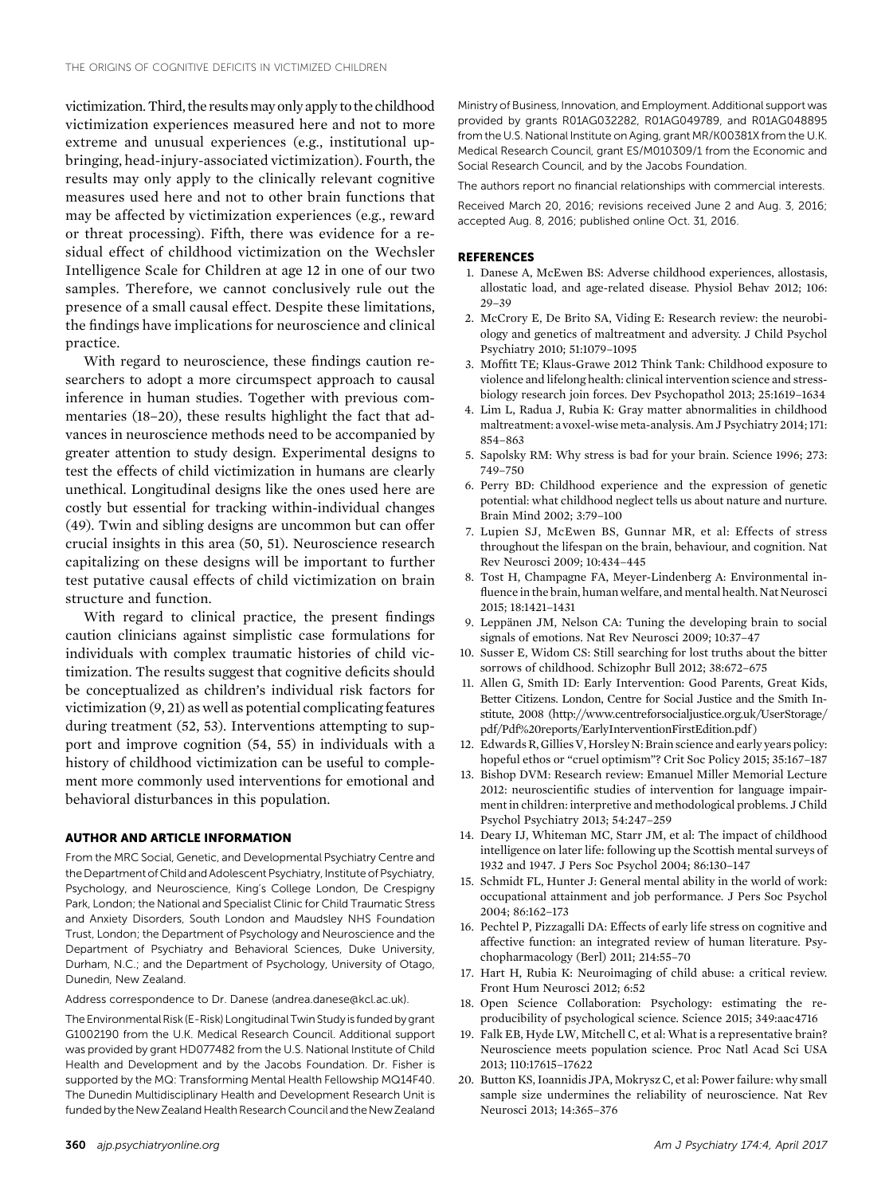victimization. Third, the resultsmay only apply to the childhood victimization experiences measured here and not to more extreme and unusual experiences (e.g., institutional upbringing, head-injury-associated victimization). Fourth, the results may only apply to the clinically relevant cognitive measures used here and not to other brain functions that may be affected by victimization experiences (e.g., reward or threat processing). Fifth, there was evidence for a residual effect of childhood victimization on the Wechsler Intelligence Scale for Children at age 12 in one of our two samples. Therefore, we cannot conclusively rule out the presence of a small causal effect. Despite these limitations, the findings have implications for neuroscience and clinical practice.

With regard to neuroscience, these findings caution researchers to adopt a more circumspect approach to causal inference in human studies. Together with previous commentaries (18–20), these results highlight the fact that advances in neuroscience methods need to be accompanied by greater attention to study design. Experimental designs to test the effects of child victimization in humans are clearly unethical. Longitudinal designs like the ones used here are costly but essential for tracking within-individual changes (49). Twin and sibling designs are uncommon but can offer crucial insights in this area (50, 51). Neuroscience research capitalizing on these designs will be important to further test putative causal effects of child victimization on brain structure and function.

With regard to clinical practice, the present findings caution clinicians against simplistic case formulations for individuals with complex traumatic histories of child victimization. The results suggest that cognitive deficits should be conceptualized as children's individual risk factors for victimization (9, 21) as well as potential complicating features during treatment (52, 53). Interventions attempting to support and improve cognition (54, 55) in individuals with a history of childhood victimization can be useful to complement more commonly used interventions for emotional and behavioral disturbances in this population.

#### AUTHOR AND ARTICLE INFORMATION

From the MRC Social, Genetic, and Developmental Psychiatry Centre and the Department of Child and Adolescent Psychiatry, Institute of Psychiatry, Psychology, and Neuroscience, King's College London, De Crespigny Park, London; the National and Specialist Clinic for Child Traumatic Stress and Anxiety Disorders, South London and Maudsley NHS Foundation Trust, London; the Department of Psychology and Neuroscience and the Department of Psychiatry and Behavioral Sciences, Duke University, Durham, N.C.; and the Department of Psychology, University of Otago, Dunedin, New Zealand.

Address correspondence to Dr. Danese [\(andrea.danese@kcl.ac.uk](mailto:andrea.danese@kcl.ac.uk)).

The Environmental Risk(E-Risk) Longitudinal Twin Study is funded by grant G1002190 from the U.K. Medical Research Council. Additional support was provided by grant HD077482 from the U.S. National Institute of Child Health and Development and by the Jacobs Foundation. Dr. Fisher is supported by the MQ: Transforming Mental Health Fellowship MQ14F40. The Dunedin Multidisciplinary Health and Development Research Unit is funded by the New Zealand Health Research Council and the New Zealand

Ministry of Business, Innovation, and Employment. Additional support was provided by grants R01AG032282, R01AG049789, and R01AG048895 from the U.S. National Institute on Aging, grant MR/K00381X from the U.K. Medical Research Council, grant ES/M010309/1 from the Economic and Social Research Council, and by the Jacobs Foundation.

The authors report no financial relationships with commercial interests.

Received March 20, 2016; revisions received June 2 and Aug. 3, 2016; accepted Aug. 8, 2016; published online Oct. 31, 2016.

#### **REFERENCES**

- 1. Danese A, McEwen BS: Adverse childhood experiences, allostasis, allostatic load, and age-related disease. Physiol Behav 2012; 106: 29–39
- 2. McCrory E, De Brito SA, Viding E: Research review: the neurobiology and genetics of maltreatment and adversity. J Child Psychol Psychiatry 2010; 51:1079–1095
- 3. Moffitt TE; Klaus-Grawe 2012 Think Tank: Childhood exposure to violence and lifelong health: clinical intervention science and stressbiology research join forces. Dev Psychopathol 2013; 25:1619–1634
- 4. Lim L, Radua J, Rubia K: Gray matter abnormalities in childhood maltreatment: a voxel-wise meta-analysis. Am J Psychiatry 2014; 171: 854–863
- 5. Sapolsky RM: Why stress is bad for your brain. Science 1996; 273: 749–750
- 6. Perry BD: Childhood experience and the expression of genetic potential: what childhood neglect tells us about nature and nurture. Brain Mind 2002; 3:79–100
- 7. Lupien SJ, McEwen BS, Gunnar MR, et al: Effects of stress throughout the lifespan on the brain, behaviour, and cognition. Nat Rev Neurosci 2009; 10:434–445
- 8. Tost H, Champagne FA, Meyer-Lindenberg A: Environmental influence in the brain, human welfare, and mental health. Nat Neurosci 2015; 18:1421–1431
- 9. Leppänen JM, Nelson CA: Tuning the developing brain to social signals of emotions. Nat Rev Neurosci 2009; 10:37–47
- 10. Susser E, Widom CS: Still searching for lost truths about the bitter sorrows of childhood. Schizophr Bull 2012; 38:672–675
- 11. Allen G, Smith ID: Early Intervention: Good Parents, Great Kids, Better Citizens. London, Centre for Social Justice and the Smith Institute, 2008 [\(http://www.centreforsocialjustice.org.uk/UserStorage/](http://www.centreforsocialjustice.org.uk/UserStorage/pdf/Pdf%20reports/EarlyInterventionFirstEdition.pdf) [pdf/Pdf%20reports/EarlyInterventionFirstEdition.pdf](http://www.centreforsocialjustice.org.uk/UserStorage/pdf/Pdf%20reports/EarlyInterventionFirstEdition.pdf) )
- 12. Edwards R, Gillies V, Horsley N: Brain science and early years policy: hopeful ethos or "cruel optimism"? Crit Soc Policy 2015; 35:167–187
- 13. Bishop DVM: Research review: Emanuel Miller Memorial Lecture 2012: neuroscientific studies of intervention for language impairment in children: interpretive and methodological problems. J Child Psychol Psychiatry 2013; 54:247–259
- 14. Deary IJ, Whiteman MC, Starr JM, et al: The impact of childhood intelligence on later life: following up the Scottish mental surveys of 1932 and 1947. J Pers Soc Psychol 2004; 86:130–147
- 15. Schmidt FL, Hunter J: General mental ability in the world of work: occupational attainment and job performance. J Pers Soc Psychol 2004; 86:162–173
- 16. Pechtel P, Pizzagalli DA: Effects of early life stress on cognitive and affective function: an integrated review of human literature. Psychopharmacology (Berl) 2011; 214:55–70
- 17. Hart H, Rubia K: Neuroimaging of child abuse: a critical review. Front Hum Neurosci 2012; 6:52
- 18. Open Science Collaboration: Psychology: estimating the reproducibility of psychological science. Science 2015; 349:aac4716
- 19. Falk EB, Hyde LW, Mitchell C, et al: What is a representative brain? Neuroscience meets population science. Proc Natl Acad Sci USA 2013; 110:17615–17622
- 20. Button KS, Ioannidis JPA,Mokrysz C, et al: Power failure: why small sample size undermines the reliability of neuroscience. Nat Rev Neurosci 2013; 14:365–376